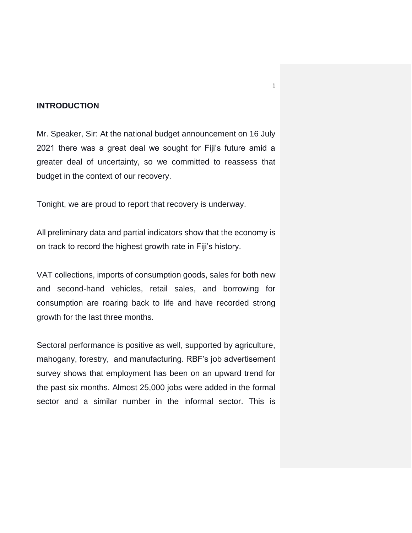## **INTRODUCTION**

Mr. Speaker, Sir: At the national budget announcement on 16 July 2021 there was a great deal we sought for Fiji's future amid a greater deal of uncertainty, so we committed to reassess that budget in the context of our recovery.

Tonight, we are proud to report that recovery is underway.

All preliminary data and partial indicators show that the economy is on track to record the highest growth rate in Fiji's history.

VAT collections, imports of consumption goods, sales for both new and second-hand vehicles, retail sales, and borrowing for consumption are roaring back to life and have recorded strong growth for the last three months.

Sectoral performance is positive as well, supported by agriculture, mahogany, forestry, and manufacturing. RBF's job advertisement survey shows that employment has been on an upward trend for the past six months. Almost 25,000 jobs were added in the formal sector and a similar number in the informal sector. This is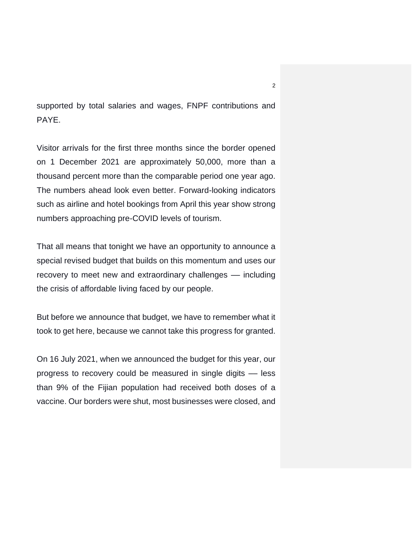supported by total salaries and wages, FNPF contributions and PAYE.

Visitor arrivals for the first three months since the border opened on 1 December 2021 are approximately 50,000, more than a thousand percent more than the comparable period one year ago. The numbers ahead look even better. Forward-looking indicators such as airline and hotel bookings from April this year show strong numbers approaching pre-COVID levels of tourism.

That all means that tonight we have an opportunity to announce a special revised budget that builds on this momentum and uses our recovery to meet new and extraordinary challenges - including the crisis of affordable living faced by our people.

But before we announce that budget, we have to remember what it took to get here, because we cannot take this progress for granted.

On 16 July 2021, when we announced the budget for this year, our progress to recovery could be measured in single digits –– less than 9% of the Fijian population had received both doses of a vaccine. Our borders were shut, most businesses were closed, and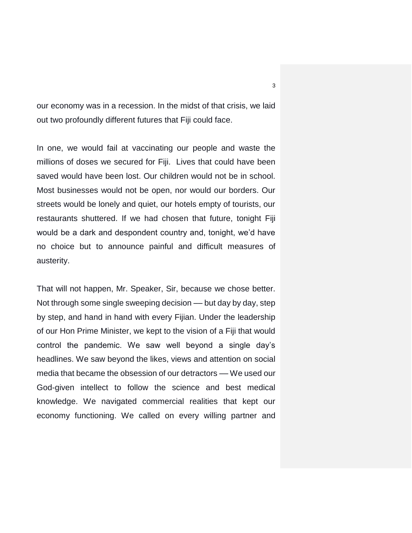our economy was in a recession. In the midst of that crisis, we laid out two profoundly different futures that Fiji could face.

In one, we would fail at vaccinating our people and waste the millions of doses we secured for Fiji. Lives that could have been saved would have been lost. Our children would not be in school. Most businesses would not be open, nor would our borders. Our streets would be lonely and quiet, our hotels empty of tourists, our restaurants shuttered. If we had chosen that future, tonight Fiji would be a dark and despondent country and, tonight, we'd have no choice but to announce painful and difficult measures of austerity.

That will not happen, Mr. Speaker, Sir, because we chose better. Not through some single sweeping decision — but day by day, step by step, and hand in hand with every Fijian. Under the leadership of our Hon Prime Minister, we kept to the vision of a Fiji that would control the pandemic. We saw well beyond a single day's headlines. We saw beyond the likes, views and attention on social media that became the obsession of our detractors -- We used our God-given intellect to follow the science and best medical knowledge. We navigated commercial realities that kept our economy functioning. We called on every willing partner and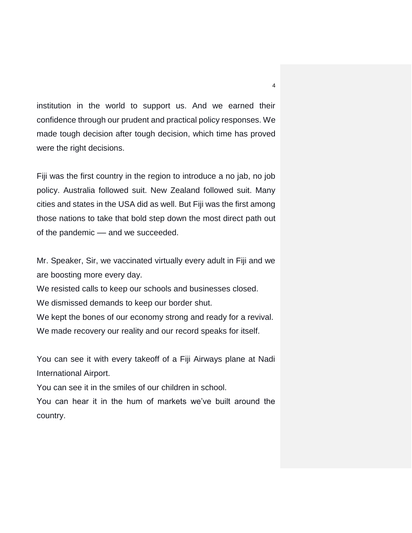institution in the world to support us. And we earned their confidence through our prudent and practical policy responses. We made tough decision after tough decision, which time has proved were the right decisions.

Fiji was the first country in the region to introduce a no jab, no job policy. Australia followed suit. New Zealand followed suit. Many cities and states in the USA did as well. But Fiji was the first among those nations to take that bold step down the most direct path out of the pandemic –– and we succeeded.

Mr. Speaker, Sir, we vaccinated virtually every adult in Fiji and we are boosting more every day.

We resisted calls to keep our schools and businesses closed.

We dismissed demands to keep our border shut.

We kept the bones of our economy strong and ready for a revival. We made recovery our reality and our record speaks for itself.

You can see it with every takeoff of a Fiji Airways plane at Nadi International Airport.

You can see it in the smiles of our children in school.

You can hear it in the hum of markets we've built around the country.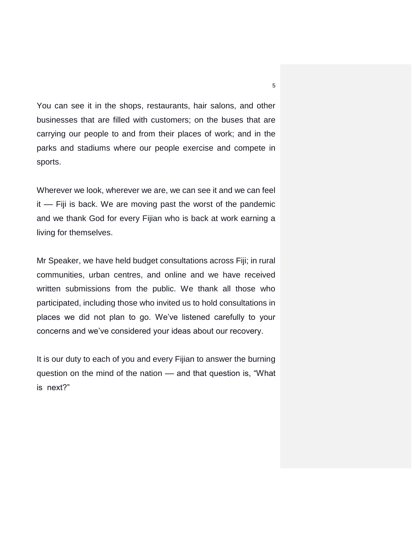You can see it in the shops, restaurants, hair salons, and other businesses that are filled with customers; on the buses that are carrying our people to and from their places of work; and in the parks and stadiums where our people exercise and compete in sports.

Wherever we look, wherever we are, we can see it and we can feel it –– Fiji is back. We are moving past the worst of the pandemic and we thank God for every Fijian who is back at work earning a living for themselves.

Mr Speaker, we have held budget consultations across Fiji; in rural communities, urban centres, and online and we have received written submissions from the public. We thank all those who participated, including those who invited us to hold consultations in places we did not plan to go. We've listened carefully to your concerns and we've considered your ideas about our recovery.

It is our duty to each of you and every Fijian to answer the burning question on the mind of the nation –– and that question is, "What is next?"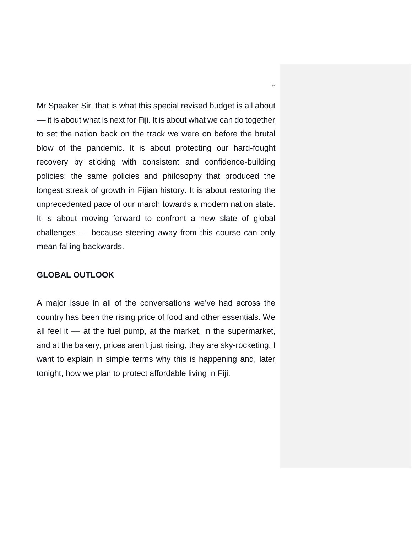Mr Speaker Sir, that is what this special revised budget is all about –– it is about what is next for Fiji. It is about what we can do together to set the nation back on the track we were on before the brutal blow of the pandemic. It is about protecting our hard-fought recovery by sticking with consistent and confidence-building policies; the same policies and philosophy that produced the longest streak of growth in Fijian history. It is about restoring the unprecedented pace of our march towards a modern nation state. It is about moving forward to confront a new slate of global challenges –– because steering away from this course can only mean falling backwards.

### **GLOBAL OUTLOOK**

A major issue in all of the conversations we've had across the country has been the rising price of food and other essentials. We all feel it –– at the fuel pump, at the market, in the supermarket, and at the bakery, prices aren't just rising, they are sky-rocketing. I want to explain in simple terms why this is happening and, later tonight, how we plan to protect affordable living in Fiji.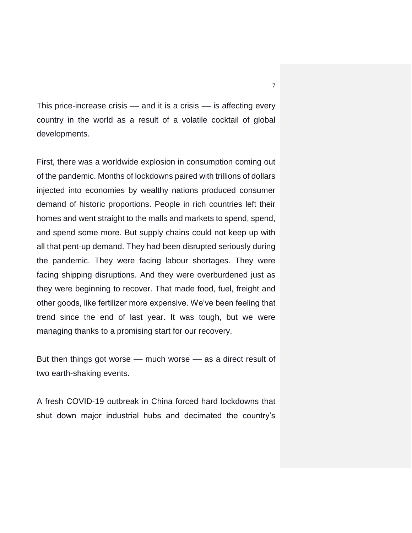This price-increase crisis –– and it is a crisis –– is affecting every country in the world as a result of a volatile cocktail of global developments.

First, there was a worldwide explosion in consumption coming out of the pandemic. Months of lockdowns paired with trillions of dollars injected into economies by wealthy nations produced consumer demand of historic proportions. People in rich countries left their homes and went straight to the malls and markets to spend, spend, and spend some more. But supply chains could not keep up with all that pent-up demand. They had been disrupted seriously during the pandemic. They were facing labour shortages. They were facing shipping disruptions. And they were overburdened just as they were beginning to recover. That made food, fuel, freight and other goods, like fertilizer more expensive. We've been feeling that trend since the end of last year. It was tough, but we were managing thanks to a promising start for our recovery.

But then things got worse –– much worse –– as a direct result of two earth-shaking events.

A fresh COVID-19 outbreak in China forced hard lockdowns that shut down major industrial hubs and decimated the country's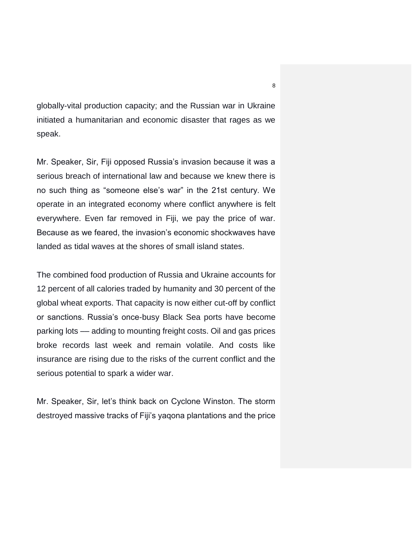globally-vital production capacity; and the Russian war in Ukraine initiated a humanitarian and economic disaster that rages as we speak.

Mr. Speaker, Sir, Fiji opposed Russia's invasion because it was a serious breach of international law and because we knew there is no such thing as "someone else's war" in the 21st century. We operate in an integrated economy where conflict anywhere is felt everywhere. Even far removed in Fiji, we pay the price of war. Because as we feared, the invasion's economic shockwaves have landed as tidal waves at the shores of small island states.

The combined food production of Russia and Ukraine accounts for 12 percent of all calories traded by humanity and 30 percent of the global wheat exports. That capacity is now either cut-off by conflict or sanctions. Russia's once-busy Black Sea ports have become parking lots –– adding to mounting freight costs. Oil and gas prices broke records last week and remain volatile. And costs like insurance are rising due to the risks of the current conflict and the serious potential to spark a wider war.

Mr. Speaker, Sir, let's think back on Cyclone Winston. The storm destroyed massive tracks of Fiji's yaqona plantations and the price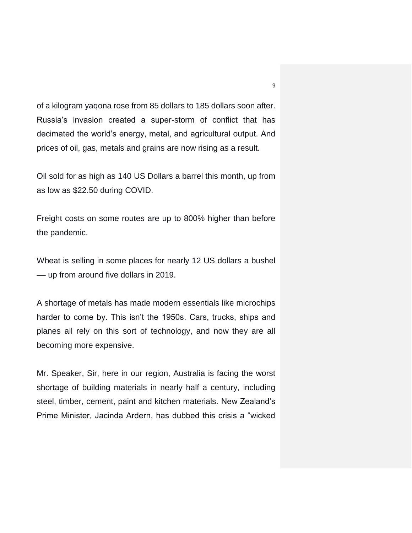of a kilogram yaqona rose from 85 dollars to 185 dollars soon after. Russia's invasion created a super-storm of conflict that has decimated the world's energy, metal, and agricultural output. And prices of oil, gas, metals and grains are now rising as a result.

Oil sold for as high as 140 US Dollars a barrel this month, up from as low as \$22.50 during COVID.

Freight costs on some routes are up to 800% higher than before the pandemic.

Wheat is selling in some places for nearly 12 US dollars a bushel –– up from around five dollars in 2019.

A shortage of metals has made modern essentials like microchips harder to come by. This isn't the 1950s. Cars, trucks, ships and planes all rely on this sort of technology, and now they are all becoming more expensive.

Mr. Speaker, Sir, here in our region, Australia is facing the worst shortage of building materials in nearly half a century, including steel, timber, cement, paint and kitchen materials. New Zealand's Prime Minister, Jacinda Ardern, has dubbed this crisis a "wicked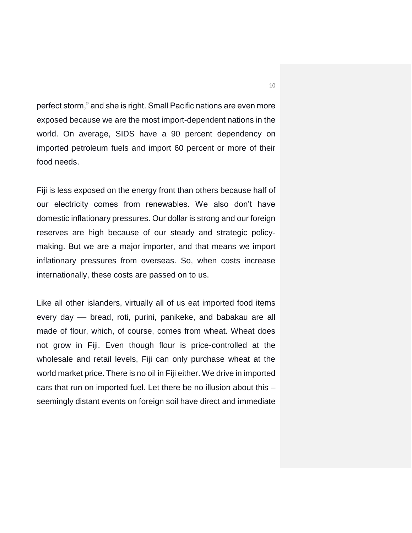perfect storm," and she is right. Small Pacific nations are even more exposed because we are the most import-dependent nations in the world. On average, SIDS have a 90 percent dependency on imported petroleum fuels and import 60 percent or more of their food needs.

Fiji is less exposed on the energy front than others because half of our electricity comes from renewables. We also don't have domestic inflationary pressures. Our dollar is strong and our foreign reserves are high because of our steady and strategic policymaking. But we are a major importer, and that means we import inflationary pressures from overseas. So, when costs increase internationally, these costs are passed on to us.

Like all other islanders, virtually all of us eat imported food items every day –– bread, roti, purini, panikeke, and babakau are all made of flour, which, of course, comes from wheat. Wheat does not grow in Fiji. Even though flour is price-controlled at the wholesale and retail levels, Fiji can only purchase wheat at the world market price. There is no oil in Fiji either. We drive in imported cars that run on imported fuel. Let there be no illusion about this – seemingly distant events on foreign soil have direct and immediate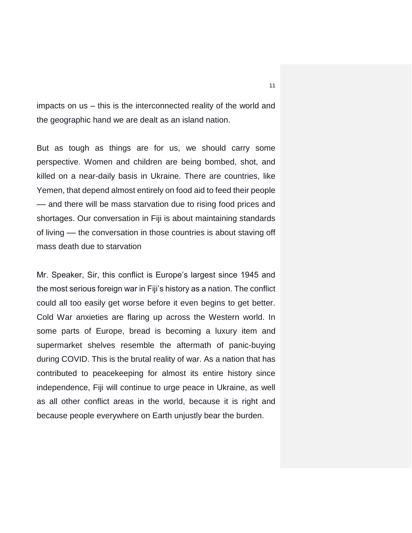impacts on us – this is the interconnected reality of the world and the geographic hand we are dealt as an island nation.

But as tough as things are for us, we should carry some perspective. Women and children are being bombed, shot, and killed on a near-daily basis in Ukraine. There are countries, like Yemen, that depend almost entirely on food aid to feed their people –– and there will be mass starvation due to rising food prices and shortages. Our conversation in Fiji is about maintaining standards of living –– the conversation in those countries is about staving off mass death due to starvation

Mr. Speaker, Sir, this conflict is Europe's largest since 1945 and the most serious foreign war in Fiji's history as a nation. The conflict could all too easily get worse before it even begins to get better. Cold War anxieties are flaring up across the Western world. In some parts of Europe, bread is becoming a luxury item and supermarket shelves resemble the aftermath of panic-buying during COVID. This is the brutal reality of war. As a nation that has contributed to peacekeeping for almost its entire history since independence, Fiji will continue to urge peace in Ukraine, as well as all other conflict areas in the world, because it is right and because people everywhere on Earth unjustly bear the burden.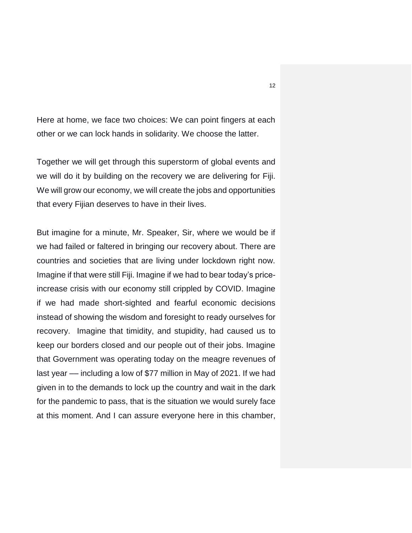Here at home, we face two choices: We can point fingers at each other or we can lock hands in solidarity. We choose the latter.

Together we will get through this superstorm of global events and we will do it by building on the recovery we are delivering for Fiji. We will grow our economy, we will create the jobs and opportunities that every Fijian deserves to have in their lives.

But imagine for a minute, Mr. Speaker, Sir, where we would be if we had failed or faltered in bringing our recovery about. There are countries and societies that are living under lockdown right now. Imagine if that were still Fiji. Imagine if we had to bear today's priceincrease crisis with our economy still crippled by COVID. Imagine if we had made short-sighted and fearful economic decisions instead of showing the wisdom and foresight to ready ourselves for recovery. Imagine that timidity, and stupidity, had caused us to keep our borders closed and our people out of their jobs. Imagine that Government was operating today on the meagre revenues of last year — including a low of \$77 million in May of 2021. If we had given in to the demands to lock up the country and wait in the dark for the pandemic to pass, that is the situation we would surely face at this moment. And I can assure everyone here in this chamber,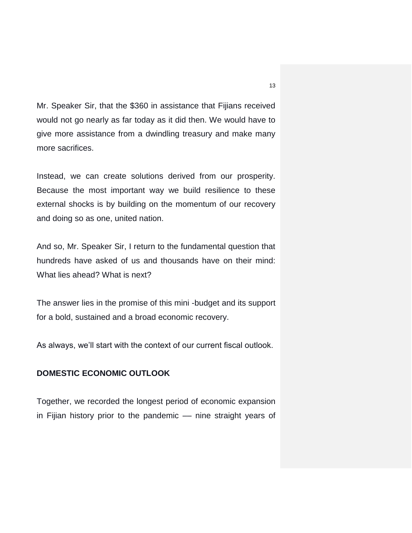Mr. Speaker Sir, that the \$360 in assistance that Fijians received would not go nearly as far today as it did then. We would have to give more assistance from a dwindling treasury and make many more sacrifices.

Instead, we can create solutions derived from our prosperity. Because the most important way we build resilience to these external shocks is by building on the momentum of our recovery and doing so as one, united nation.

And so, Mr. Speaker Sir, I return to the fundamental question that hundreds have asked of us and thousands have on their mind: What lies ahead? What is next?

The answer lies in the promise of this mini -budget and its support for a bold, sustained and a broad economic recovery.

As always, we'll start with the context of our current fiscal outlook.

# **DOMESTIC ECONOMIC OUTLOOK**

Together, we recorded the longest period of economic expansion in Fijian history prior to the pandemic –– nine straight years of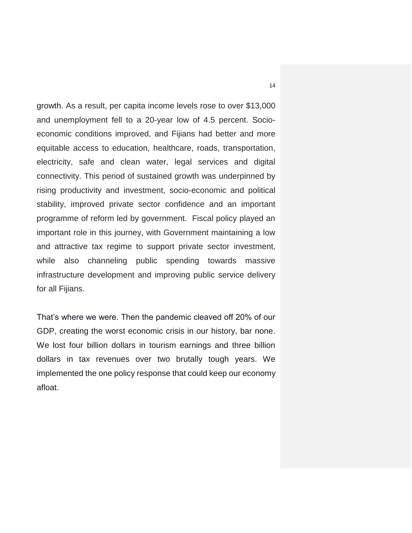growth. As a result, per capita income levels rose to over \$13,000 and unemployment fell to a 20-year low of 4.5 percent. Socioeconomic conditions improved, and Fijians had better and more equitable access to education, healthcare, roads, transportation, electricity, safe and clean water, legal services and digital connectivity. This period of sustained growth was underpinned by rising productivity and investment, socio-economic and political stability, improved private sector confidence and an important programme of reform led by government. Fiscal policy played an important role in this journey, with Government maintaining a low and attractive tax regime to support private sector investment, while also channeling public spending towards massive infrastructure development and improving public service delivery for all Fijians.

That's where we were. Then the pandemic cleaved off 20% of our GDP, creating the worst economic crisis in our history, bar none. We lost four billion dollars in tourism earnings and three billion dollars in tax revenues over two brutally tough years. We implemented the one policy response that could keep our economy afloat.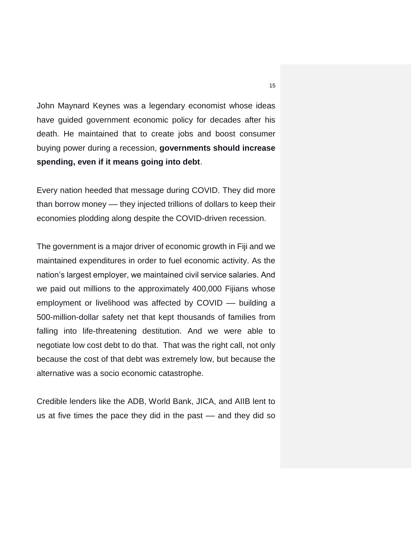John Maynard Keynes was a legendary economist whose ideas have guided government economic policy for decades after his death. He maintained that to create jobs and boost consumer buying power during a recession, **governments should increase spending, even if it means going into debt**.

Every nation heeded that message during COVID. They did more than borrow money –– they injected trillions of dollars to keep their economies plodding along despite the COVID-driven recession.

The government is a major driver of economic growth in Fiji and we maintained expenditures in order to fuel economic activity. As the nation's largest employer, we maintained civil service salaries. And we paid out millions to the approximately 400,000 Fijians whose employment or livelihood was affected by COVID –– building a 500-million-dollar safety net that kept thousands of families from falling into life-threatening destitution. And we were able to negotiate low cost debt to do that. That was the right call, not only because the cost of that debt was extremely low, but because the alternative was a socio economic catastrophe.

Credible lenders like the ADB, World Bank, JICA, and AIIB lent to us at five times the pace they did in the past –– and they did so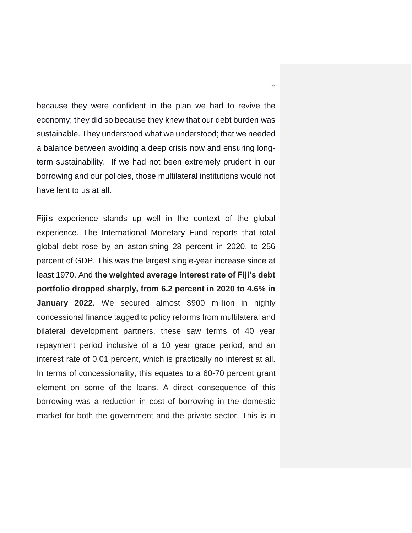because they were confident in the plan we had to revive the economy; they did so because they knew that our debt burden was sustainable. They understood what we understood; that we needed a balance between avoiding a deep crisis now and ensuring longterm sustainability. If we had not been extremely prudent in our borrowing and our policies, those multilateral institutions would not have lent to us at all.

Fiji's experience stands up well in the context of the global experience. The International Monetary Fund reports that total global debt rose by an astonishing 28 percent in 2020, to 256 percent of GDP. This was the largest single-year increase since at least 1970. And **the weighted average interest rate of Fiji's debt portfolio dropped sharply, from 6.2 percent in 2020 to 4.6% in January 2022.** We secured almost \$900 million in highly concessional finance tagged to policy reforms from multilateral and bilateral development partners, these saw terms of 40 year repayment period inclusive of a 10 year grace period, and an interest rate of 0.01 percent, which is practically no interest at all. In terms of concessionality, this equates to a 60-70 percent grant element on some of the loans. A direct consequence of this borrowing was a reduction in cost of borrowing in the domestic market for both the government and the private sector. This is in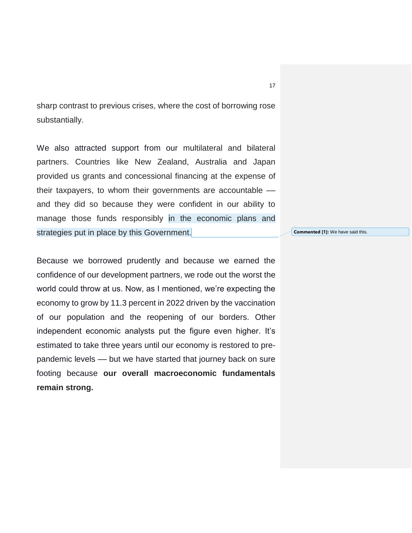sharp contrast to previous crises, where the cost of borrowing rose substantially.

We also attracted support from our multilateral and bilateral partners. Countries like New Zealand, Australia and Japan provided us grants and concessional financing at the expense of their taxpayers, to whom their governments are accountable –– and they did so because they were confident in our ability to manage those funds responsibly in the economic plans and strategies put in place by this Government.

Because we borrowed prudently and because we earned the confidence of our development partners, we rode out the worst the world could throw at us. Now, as I mentioned, we're expecting the economy to grow by 11.3 percent in 2022 driven by the vaccination of our population and the reopening of our borders. Other independent economic analysts put the figure even higher. It's estimated to take three years until our economy is restored to prepandemic levels –– but we have started that journey back on sure footing because **our overall macroeconomic fundamentals remain strong.** 

**Commented [1]:** We have said this.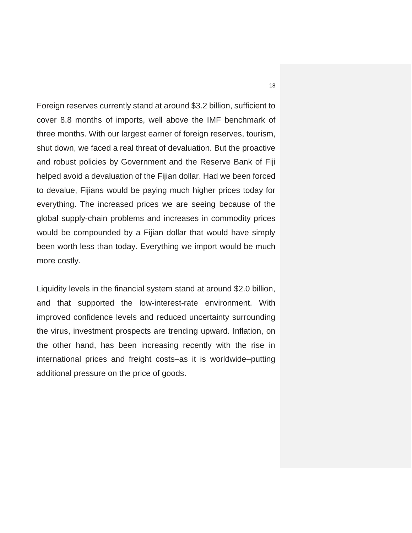Foreign reserves currently stand at around \$3.2 billion, sufficient to cover 8.8 months of imports, well above the IMF benchmark of three months. With our largest earner of foreign reserves, tourism, shut down, we faced a real threat of devaluation. But the proactive and robust policies by Government and the Reserve Bank of Fiji helped avoid a devaluation of the Fijian dollar. Had we been forced to devalue, Fijians would be paying much higher prices today for everything. The increased prices we are seeing because of the global supply-chain problems and increases in commodity prices would be compounded by a Fijian dollar that would have simply been worth less than today. Everything we import would be much more costly.

Liquidity levels in the financial system stand at around \$2.0 billion, and that supported the low-interest-rate environment. With improved confidence levels and reduced uncertainty surrounding the virus, investment prospects are trending upward. Inflation, on the other hand, has been increasing recently with the rise in international prices and freight costs–as it is worldwide–putting additional pressure on the price of goods.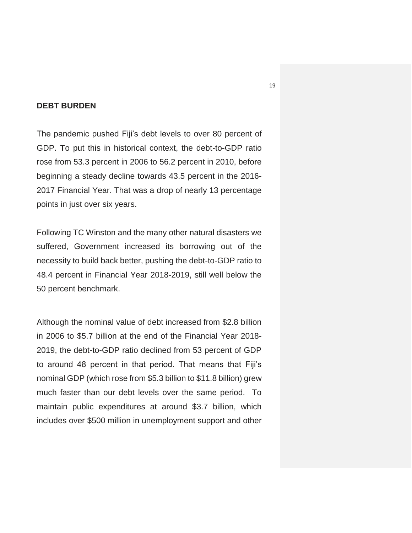## **DEBT BURDEN**

The pandemic pushed Fiji's debt levels to over 80 percent of GDP. To put this in historical context, the debt-to-GDP ratio rose from 53.3 percent in 2006 to 56.2 percent in 2010, before beginning a steady decline towards 43.5 percent in the 2016- 2017 Financial Year. That was a drop of nearly 13 percentage points in just over six years.

Following TC Winston and the many other natural disasters we suffered, Government increased its borrowing out of the necessity to build back better, pushing the debt-to-GDP ratio to 48.4 percent in Financial Year 2018-2019, still well below the 50 percent benchmark.

Although the nominal value of debt increased from \$2.8 billion in 2006 to \$5.7 billion at the end of the Financial Year 2018- 2019, the debt-to-GDP ratio declined from 53 percent of GDP to around 48 percent in that period. That means that Fiji's nominal GDP (which rose from \$5.3 billion to \$11.8 billion) grew much faster than our debt levels over the same period. To maintain public expenditures at around \$3.7 billion, which includes over \$500 million in unemployment support and other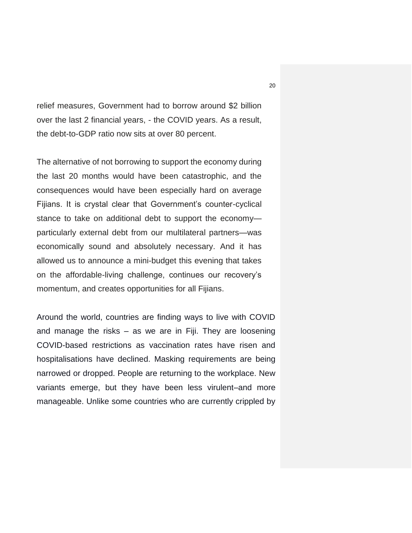relief measures, Government had to borrow around \$2 billion over the last 2 financial years, - the COVID years. As a result, the debt-to-GDP ratio now sits at over 80 percent.

The alternative of not borrowing to support the economy during the last 20 months would have been catastrophic, and the consequences would have been especially hard on average Fijians. It is crystal clear that Government's counter-cyclical stance to take on additional debt to support the economy particularly external debt from our multilateral partners—was economically sound and absolutely necessary. And it has allowed us to announce a mini-budget this evening that takes on the affordable-living challenge, continues our recovery's momentum, and creates opportunities for all Fijians.

Around the world, countries are finding ways to live with COVID and manage the risks – as we are in Fiji. They are loosening COVID-based restrictions as vaccination rates have risen and hospitalisations have declined. Masking requirements are being narrowed or dropped. People are returning to the workplace. New variants emerge, but they have been less virulent–and more manageable. Unlike some countries who are currently crippled by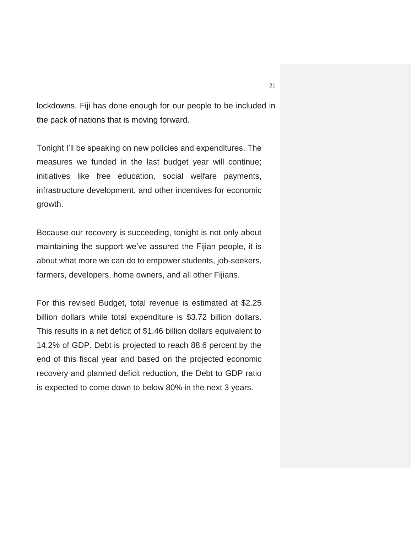lockdowns, Fiji has done enough for our people to be included in the pack of nations that is moving forward.

Tonight I'll be speaking on new policies and expenditures. The measures we funded in the last budget year will continue; initiatives like free education, social welfare payments, infrastructure development, and other incentives for economic growth.

Because our recovery is succeeding, tonight is not only about maintaining the support we've assured the Fijian people, it is about what more we can do to empower students, job-seekers, farmers, developers, home owners, and all other Fijians.

For this revised Budget, total revenue is estimated at \$2.25 billion dollars while total expenditure is \$3.72 billion dollars. This results in a net deficit of \$1.46 billion dollars equivalent to 14.2% of GDP. Debt is projected to reach 88.6 percent by the end of this fiscal year and based on the projected economic recovery and planned deficit reduction, the Debt to GDP ratio is expected to come down to below 80% in the next 3 years.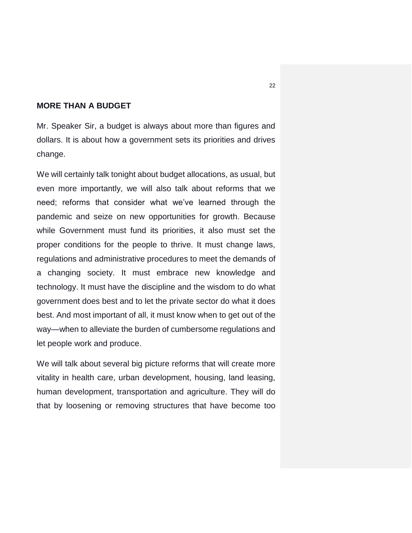## **MORE THAN A BUDGET**

Mr. Speaker Sir, a budget is always about more than figures and dollars. It is about how a government sets its priorities and drives change.

We will certainly talk tonight about budget allocations, as usual, but even more importantly, we will also talk about reforms that we need; reforms that consider what we've learned through the pandemic and seize on new opportunities for growth. Because while Government must fund its priorities, it also must set the proper conditions for the people to thrive. It must change laws, regulations and administrative procedures to meet the demands of a changing society. It must embrace new knowledge and technology. It must have the discipline and the wisdom to do what government does best and to let the private sector do what it does best. And most important of all, it must know when to get out of the way—when to alleviate the burden of cumbersome regulations and let people work and produce.

We will talk about several big picture reforms that will create more vitality in health care, urban development, housing, land leasing, human development, transportation and agriculture. They will do that by loosening or removing structures that have become too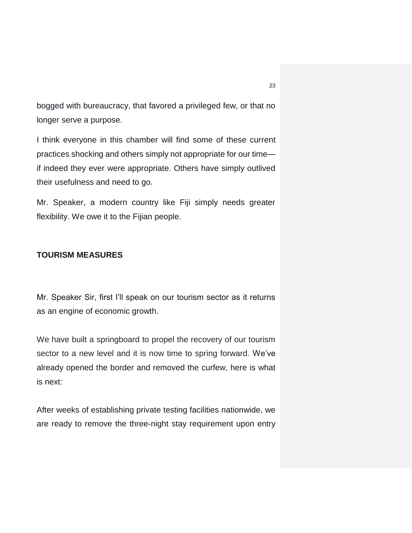bogged with bureaucracy, that favored a privileged few, or that no longer serve a purpose.

I think everyone in this chamber will find some of these current practices shocking and others simply not appropriate for our time if indeed they ever were appropriate. Others have simply outlived their usefulness and need to go.

Mr. Speaker, a modern country like Fiji simply needs greater flexibility. We owe it to the Fijian people.

## **TOURISM MEASURES**

Mr. Speaker Sir, first I'll speak on our tourism sector as it returns as an engine of economic growth.

We have built a springboard to propel the recovery of our tourism sector to a new level and it is now time to spring forward. We've already opened the border and removed the curfew, here is what is next:

After weeks of establishing private testing facilities nationwide, we are ready to remove the three-night stay requirement upon entry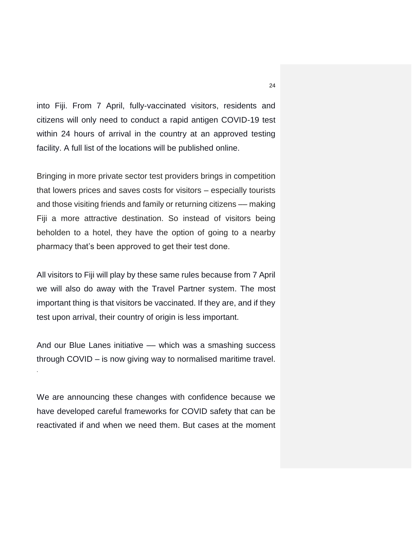into Fiji. From 7 April, fully-vaccinated visitors, residents and citizens will only need to conduct a rapid antigen COVID-19 test within 24 hours of arrival in the country at an approved testing facility. A full list of the locations will be published online.

Bringing in more private sector test providers brings in competition that lowers prices and saves costs for visitors – especially tourists and those visiting friends and family or returning citizens – making Fiji a more attractive destination. So instead of visitors being beholden to a hotel, they have the option of going to a nearby pharmacy that's been approved to get their test done.

All visitors to Fiji will play by these same rules because from 7 April we will also do away with the Travel Partner system. The most important thing is that visitors be vaccinated. If they are, and if they test upon arrival, their country of origin is less important.

And our Blue Lanes initiative — which was a smashing success through COVID – is now giving way to normalised maritime travel.

·

We are announcing these changes with confidence because we have developed careful frameworks for COVID safety that can be reactivated if and when we need them. But cases at the moment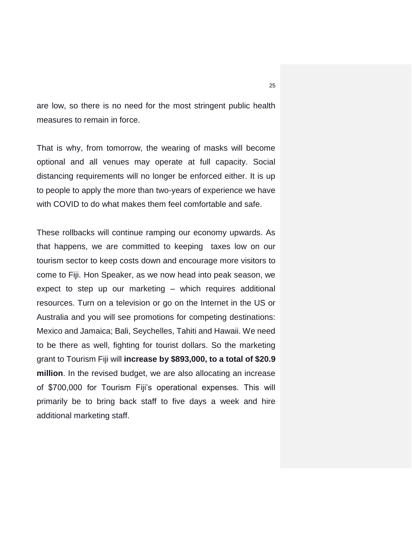are low, so there is no need for the most stringent public health measures to remain in force.

That is why, from tomorrow, the wearing of masks will become optional and all venues may operate at full capacity. Social distancing requirements will no longer be enforced either. It is up to people to apply the more than two-years of experience we have with COVID to do what makes them feel comfortable and safe.

These rollbacks will continue ramping our economy upwards. As that happens, we are committed to keeping taxes low on our tourism sector to keep costs down and encourage more visitors to come to Fiji. Hon Speaker, as we now head into peak season, we expect to step up our marketing – which requires additional resources. Turn on a television or go on the Internet in the US or Australia and you will see promotions for competing destinations: Mexico and Jamaica; Bali, Seychelles, Tahiti and Hawaii. We need to be there as well, fighting for tourist dollars. So the marketing grant to Tourism Fiji will **increase by \$893,000, to a total of \$20.9 million**. In the revised budget, we are also allocating an increase of \$700,000 for Tourism Fiji's operational expenses. This will primarily be to bring back staff to five days a week and hire additional marketing staff.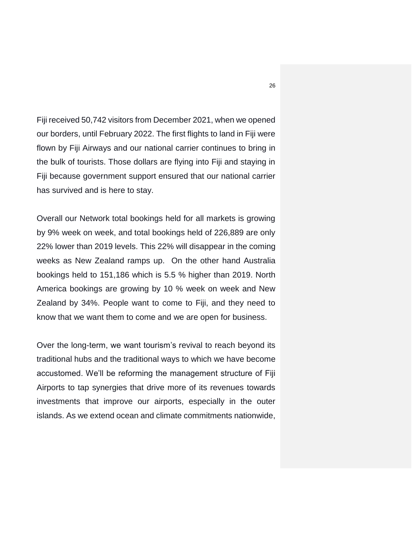Fiji received 50,742 visitors from December 2021, when we opened our borders, until February 2022. The first flights to land in Fiji were flown by Fiji Airways and our national carrier continues to bring in the bulk of tourists. Those dollars are flying into Fiji and staying in Fiji because government support ensured that our national carrier has survived and is here to stay.

Overall our Network total bookings held for all markets is growing by 9% week on week, and total bookings held of 226,889 are only 22% lower than 2019 levels. This 22% will disappear in the coming weeks as New Zealand ramps up. On the other hand Australia bookings held to 151,186 which is 5.5 % higher than 2019. North America bookings are growing by 10 % week on week and New Zealand by 34%. People want to come to Fiji, and they need to know that we want them to come and we are open for business.

Over the long-term, we want tourism's revival to reach beyond its traditional hubs and the traditional ways to which we have become accustomed. We'll be reforming the management structure of Fiji Airports to tap synergies that drive more of its revenues towards investments that improve our airports, especially in the outer islands. As we extend ocean and climate commitments nationwide,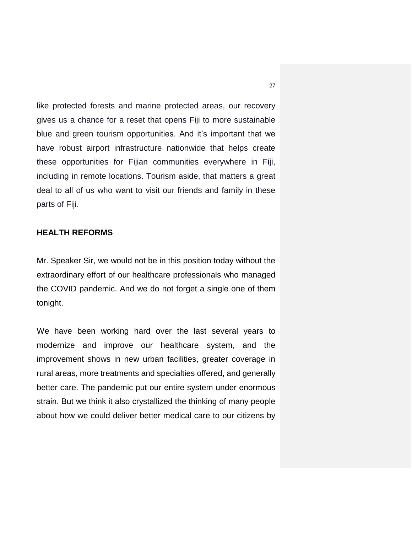like protected forests and marine protected areas, our recovery gives us a chance for a reset that opens Fiji to more sustainable blue and green tourism opportunities. And it's important that we have robust airport infrastructure nationwide that helps create these opportunities for Fijian communities everywhere in Fiji, including in remote locations. Tourism aside, that matters a great deal to all of us who want to visit our friends and family in these parts of Fiji.

## **HEALTH REFORMS**

Mr. Speaker Sir, we would not be in this position today without the extraordinary effort of our healthcare professionals who managed the COVID pandemic. And we do not forget a single one of them tonight.

We have been working hard over the last several years to modernize and improve our healthcare system, and the improvement shows in new urban facilities, greater coverage in rural areas, more treatments and specialties offered, and generally better care. The pandemic put our entire system under enormous strain. But we think it also crystallized the thinking of many people about how we could deliver better medical care to our citizens by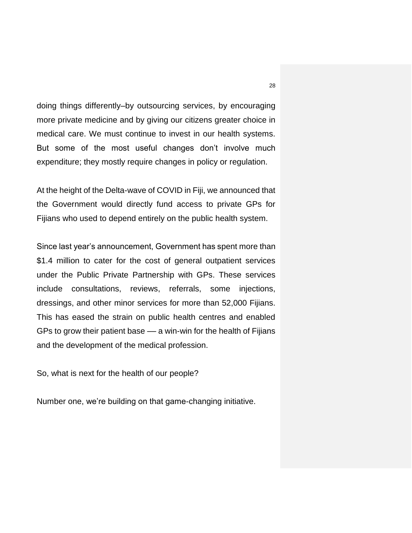doing things differently–by outsourcing services, by encouraging more private medicine and by giving our citizens greater choice in medical care. We must continue to invest in our health systems. But some of the most useful changes don't involve much expenditure; they mostly require changes in policy or regulation.

At the height of the Delta-wave of COVID in Fiji, we announced that the Government would directly fund access to private GPs for Fijians who used to depend entirely on the public health system.

Since last year's announcement, Government has spent more than \$1.4 million to cater for the cost of general outpatient services under the Public Private Partnership with GPs. These services include consultations, reviews, referrals, some injections, dressings, and other minor services for more than 52,000 Fijians. This has eased the strain on public health centres and enabled GPs to grow their patient base –– a win-win for the health of Fijians and the development of the medical profession.

So, what is next for the health of our people?

Number one, we're building on that game-changing initiative.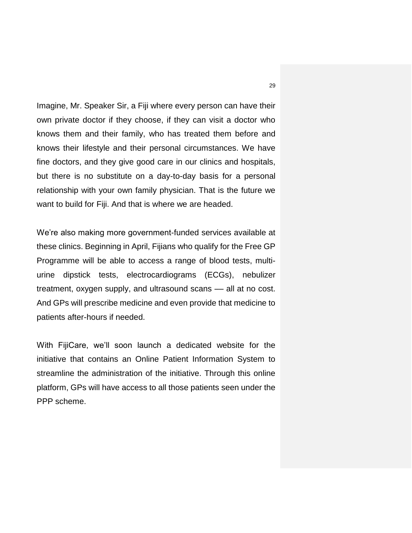Imagine, Mr. Speaker Sir, a Fiji where every person can have their own private doctor if they choose, if they can visit a doctor who knows them and their family, who has treated them before and knows their lifestyle and their personal circumstances. We have fine doctors, and they give good care in our clinics and hospitals, but there is no substitute on a day-to-day basis for a personal relationship with your own family physician. That is the future we want to build for Fiji. And that is where we are headed.

We're also making more government-funded services available at these clinics. Beginning in April, Fijians who qualify for the Free GP Programme will be able to access a range of blood tests, multiurine dipstick tests, electrocardiograms (ECGs), nebulizer treatment, oxygen supply, and ultrasound scans –– all at no cost. And GPs will prescribe medicine and even provide that medicine to patients after-hours if needed.

With FijiCare, we'll soon launch a dedicated website for the initiative that contains an Online Patient Information System to streamline the administration of the initiative. Through this online platform, GPs will have access to all those patients seen under the PPP scheme.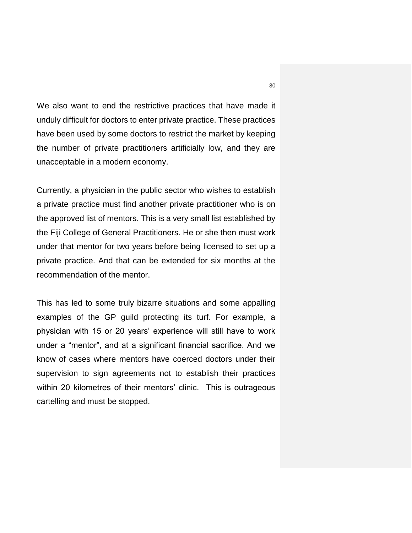We also want to end the restrictive practices that have made it unduly difficult for doctors to enter private practice. These practices have been used by some doctors to restrict the market by keeping the number of private practitioners artificially low, and they are unacceptable in a modern economy.

Currently, a physician in the public sector who wishes to establish a private practice must find another private practitioner who is on the approved list of mentors. This is a very small list established by the Fiji College of General Practitioners. He or she then must work under that mentor for two years before being licensed to set up a private practice. And that can be extended for six months at the recommendation of the mentor.

This has led to some truly bizarre situations and some appalling examples of the GP guild protecting its turf. For example, a physician with 15 or 20 years' experience will still have to work under a "mentor", and at a significant financial sacrifice. And we know of cases where mentors have coerced doctors under their supervision to sign agreements not to establish their practices within 20 kilometres of their mentors' clinic. This is outrageous cartelling and must be stopped.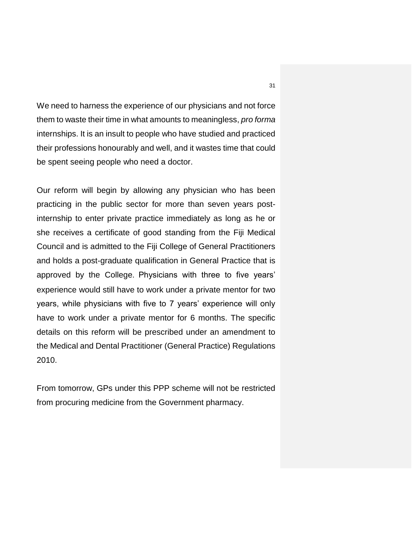We need to harness the experience of our physicians and not force them to waste their time in what amounts to meaningless, *pro forma* internships. It is an insult to people who have studied and practiced their professions honourably and well, and it wastes time that could be spent seeing people who need a doctor.

Our reform will begin by allowing any physician who has been practicing in the public sector for more than seven years postinternship to enter private practice immediately as long as he or she receives a certificate of good standing from the Fiji Medical Council and is admitted to the Fiji College of General Practitioners and holds a post-graduate qualification in General Practice that is approved by the College. Physicians with three to five years' experience would still have to work under a private mentor for two years, while physicians with five to 7 years' experience will only have to work under a private mentor for 6 months. The specific details on this reform will be prescribed under an amendment to the Medical and Dental Practitioner (General Practice) Regulations 2010.

From tomorrow, GPs under this PPP scheme will not be restricted from procuring medicine from the Government pharmacy.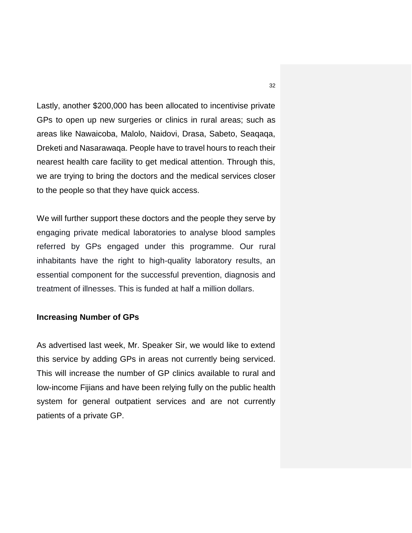Lastly, another \$200,000 has been allocated to incentivise private GPs to open up new surgeries or clinics in rural areas; such as areas like Nawaicoba, Malolo, Naidovi, Drasa, Sabeto, Seaqaqa, Dreketi and Nasarawaqa. People have to travel hours to reach their nearest health care facility to get medical attention. Through this, we are trying to bring the doctors and the medical services closer to the people so that they have quick access.

We will further support these doctors and the people they serve by engaging private medical laboratories to analyse blood samples referred by GPs engaged under this programme. Our rural inhabitants have the right to high-quality laboratory results, an essential component for the successful prevention, diagnosis and treatment of illnesses. This is funded at half a million dollars.

#### **Increasing Number of GPs**

As advertised last week, Mr. Speaker Sir, we would like to extend this service by adding GPs in areas not currently being serviced. This will increase the number of GP clinics available to rural and low-income Fijians and have been relying fully on the public health system for general outpatient services and are not currently patients of a private GP.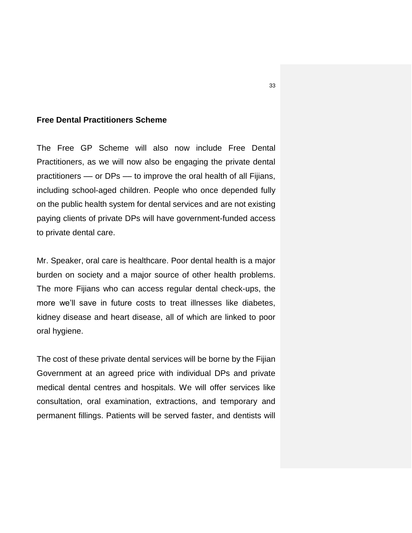### **Free Dental Practitioners Scheme**

The Free GP Scheme will also now include Free Dental Practitioners, as we will now also be engaging the private dental practitioners –– or DPs –– to improve the oral health of all Fijians, including school-aged children. People who once depended fully on the public health system for dental services and are not existing paying clients of private DPs will have government-funded access to private dental care.

Mr. Speaker, oral care is healthcare. Poor dental health is a major burden on society and a major source of other health problems. The more Fijians who can access regular dental check-ups, the more we'll save in future costs to treat illnesses like diabetes, kidney disease and heart disease, all of which are linked to poor oral hygiene.

The cost of these private dental services will be borne by the Fijian Government at an agreed price with individual DPs and private medical dental centres and hospitals. We will offer services like consultation, oral examination, extractions, and temporary and permanent fillings. Patients will be served faster, and dentists will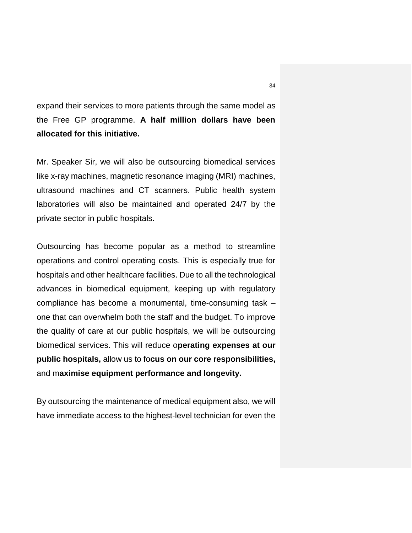expand their services to more patients through the same model as the Free GP programme. **A half million dollars have been allocated for this initiative.**

Mr. Speaker Sir, we will also be outsourcing biomedical services like x-ray machines, magnetic resonance imaging (MRI) machines, ultrasound machines and CT scanners. Public health system laboratories will also be maintained and operated 24/7 by the private sector in public hospitals.

Outsourcing has become popular as a method to streamline operations and control operating costs. This is especially true for hospitals and other healthcare facilities. Due to all the technological advances in biomedical equipment, keeping up with regulatory compliance has become a monumental, time-consuming task – one that can overwhelm both the staff and the budget. To improve the quality of care at our public hospitals, we will be outsourcing biomedical services. This will reduce o**perating expenses at our public hospitals,** allow us to fo**cus on our core responsibilities,**  and m**aximise equipment performance and longevity.**

By outsourcing the maintenance of medical equipment also, we will have immediate access to the highest-level technician for even the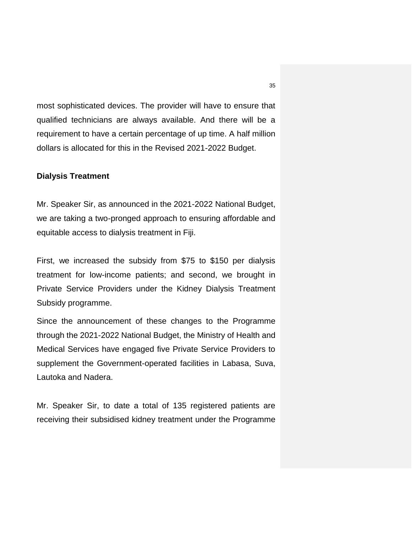most sophisticated devices. The provider will have to ensure that qualified technicians are always available. And there will be a requirement to have a certain percentage of up time. A half million dollars is allocated for this in the Revised 2021-2022 Budget.

#### **Dialysis Treatment**

Mr. Speaker Sir, as announced in the 2021-2022 National Budget, we are taking a two-pronged approach to ensuring affordable and equitable access to dialysis treatment in Fiji.

First, we increased the subsidy from \$75 to \$150 per dialysis treatment for low-income patients; and second, we brought in Private Service Providers under the Kidney Dialysis Treatment Subsidy programme.

Since the announcement of these changes to the Programme through the 2021-2022 National Budget, the Ministry of Health and Medical Services have engaged five Private Service Providers to supplement the Government-operated facilities in Labasa, Suva, Lautoka and Nadera.

Mr. Speaker Sir, to date a total of 135 registered patients are receiving their subsidised kidney treatment under the Programme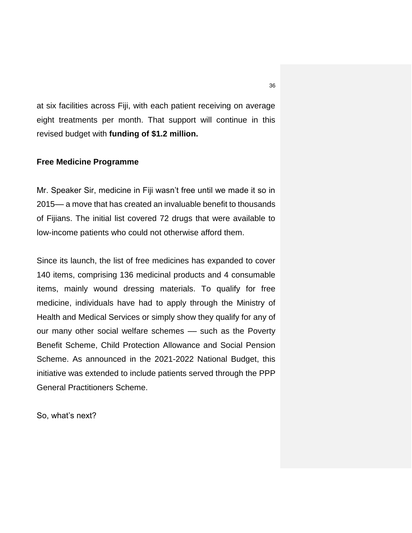at six facilities across Fiji, with each patient receiving on average eight treatments per month. That support will continue in this revised budget with **funding of \$1.2 million.**

#### **Free Medicine Programme**

Mr. Speaker Sir, medicine in Fiji wasn't free until we made it so in 2015–– a move that has created an invaluable benefit to thousands of Fijians. The initial list covered 72 drugs that were available to low-income patients who could not otherwise afford them.

Since its launch, the list of free medicines has expanded to cover 140 items, comprising 136 medicinal products and 4 consumable items, mainly wound dressing materials. To qualify for free medicine, individuals have had to apply through the Ministry of Health and Medical Services or simply show they qualify for any of our many other social welfare schemes - such as the Poverty Benefit Scheme, Child Protection Allowance and Social Pension Scheme. As announced in the 2021-2022 National Budget, this initiative was extended to include patients served through the PPP General Practitioners Scheme.

So, what's next?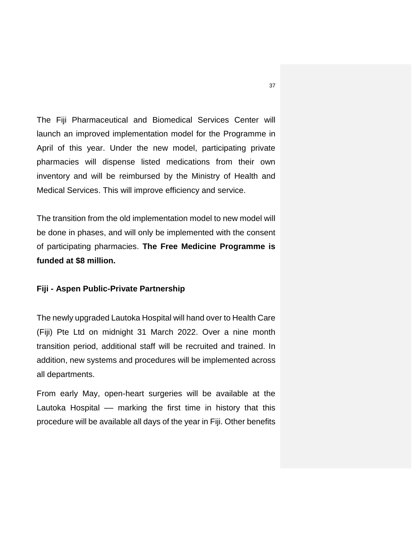The Fiji Pharmaceutical and Biomedical Services Center will launch an improved implementation model for the Programme in April of this year. Under the new model, participating private pharmacies will dispense listed medications from their own inventory and will be reimbursed by the Ministry of Health and Medical Services. This will improve efficiency and service.

The transition from the old implementation model to new model will be done in phases, and will only be implemented with the consent of participating pharmacies. **The Free Medicine Programme is funded at \$8 million.**

## **Fiji - Aspen Public-Private Partnership**

The newly upgraded Lautoka Hospital will hand over to Health Care (Fiji) Pte Ltd on midnight 31 March 2022. Over a nine month transition period, additional staff will be recruited and trained. In addition, new systems and procedures will be implemented across all departments.

From early May, open-heart surgeries will be available at the Lautoka Hospital –– marking the first time in history that this procedure will be available all days of the year in Fiji. Other benefits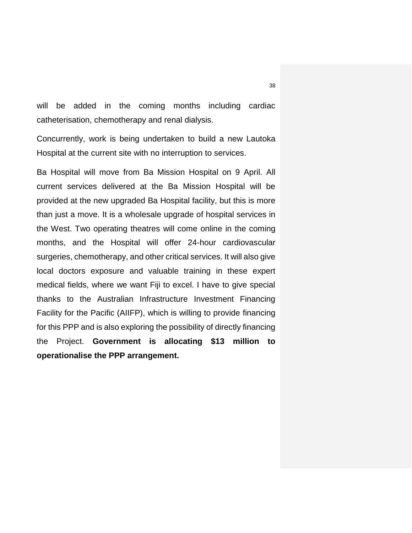will be added in the coming months including cardiac catheterisation, chemotherapy and renal dialysis.

Concurrently, work is being undertaken to build a new Lautoka Hospital at the current site with no interruption to services.

Ba Hospital will move from Ba Mission Hospital on 9 April. All current services delivered at the Ba Mission Hospital will be provided at the new upgraded Ba Hospital facility, but this is more than just a move. It is a wholesale upgrade of hospital services in the West. Two operating theatres will come online in the coming months, and the Hospital will offer 24-hour cardiovascular surgeries, chemotherapy, and other critical services. It will also give local doctors exposure and valuable training in these expert medical fields, where we want Fiji to excel. I have to give special thanks to the Australian Infrastructure Investment Financing Facility for the Pacific (AIIFP), which is willing to provide financing for this PPP and is also exploring the possibility of directly financing the Project. **Government is allocating \$13 million to operationalise the PPP arrangement.**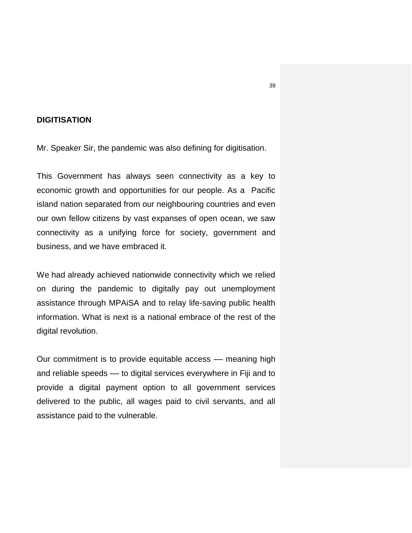# **DIGITISATION**

Mr. Speaker Sir, the pandemic was also defining for digitisation.

This Government has always seen connectivity as a key to economic growth and opportunities for our people. As a Pacific island nation separated from our neighbouring countries and even our own fellow citizens by vast expanses of open ocean, we saw connectivity as a unifying force for society, government and business, and we have embraced it.

We had already achieved nationwide connectivity which we relied on during the pandemic to digitally pay out unemployment assistance through MPAiSA and to relay life-saving public health information. What is next is a national embrace of the rest of the digital revolution.

Our commitment is to provide equitable access — meaning high and reliable speeds –– to digital services everywhere in Fiji and to provide a digital payment option to all government services delivered to the public, all wages paid to civil servants, and all assistance paid to the vulnerable.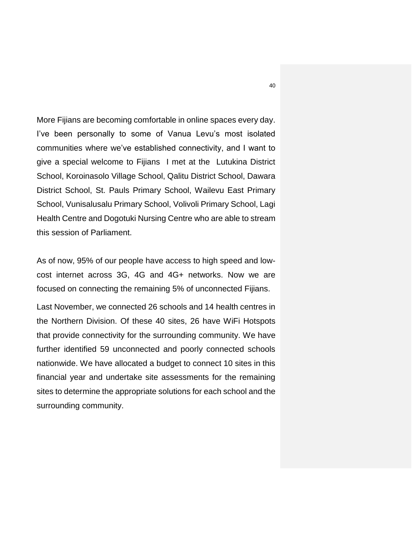More Fijians are becoming comfortable in online spaces every day. I've been personally to some of Vanua Levu's most isolated communities where we've established connectivity, and I want to give a special welcome to Fijians I met at the Lutukina District School, Koroinasolo Village School, Qalitu District School, Dawara District School, St. Pauls Primary School, Wailevu East Primary School, Vunisalusalu Primary School, Volivoli Primary School, Lagi Health Centre and Dogotuki Nursing Centre who are able to stream this session of Parliament.

As of now, 95% of our people have access to high speed and lowcost internet across 3G, 4G and 4G+ networks. Now we are focused on connecting the remaining 5% of unconnected Fijians.

Last November, we connected 26 schools and 14 health centres in the Northern Division. Of these 40 sites, 26 have WiFi Hotspots that provide connectivity for the surrounding community. We have further identified 59 unconnected and poorly connected schools nationwide. We have allocated a budget to connect 10 sites in this financial year and undertake site assessments for the remaining sites to determine the appropriate solutions for each school and the surrounding community.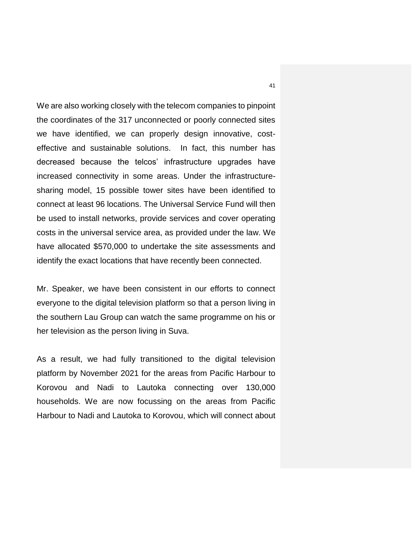We are also working closely with the telecom companies to pinpoint the coordinates of the 317 unconnected or poorly connected sites we have identified, we can properly design innovative, costeffective and sustainable solutions. In fact, this number has decreased because the telcos' infrastructure upgrades have increased connectivity in some areas. Under the infrastructuresharing model, 15 possible tower sites have been identified to connect at least 96 locations. The Universal Service Fund will then be used to install networks, provide services and cover operating costs in the universal service area, as provided under the law. We have allocated \$570,000 to undertake the site assessments and identify the exact locations that have recently been connected.

Mr. Speaker, we have been consistent in our efforts to connect everyone to the digital television platform so that a person living in the southern Lau Group can watch the same programme on his or her television as the person living in Suva.

As a result, we had fully transitioned to the digital television platform by November 2021 for the areas from Pacific Harbour to Korovou and Nadi to Lautoka connecting over 130,000 households. We are now focussing on the areas from Pacific Harbour to Nadi and Lautoka to Korovou, which will connect about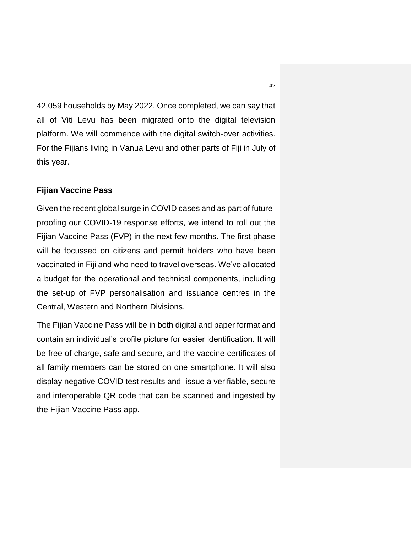42,059 households by May 2022. Once completed, we can say that all of Viti Levu has been migrated onto the digital television platform. We will commence with the digital switch-over activities. For the Fijians living in Vanua Levu and other parts of Fiji in July of this year.

#### **Fijian Vaccine Pass**

Given the recent global surge in COVID cases and as part of futureproofing our COVID-19 response efforts, we intend to roll out the Fijian Vaccine Pass (FVP) in the next few months. The first phase will be focussed on citizens and permit holders who have been vaccinated in Fiji and who need to travel overseas. We've allocated a budget for the operational and technical components, including the set-up of FVP personalisation and issuance centres in the Central, Western and Northern Divisions.

The Fijian Vaccine Pass will be in both digital and paper format and contain an individual's profile picture for easier identification. It will be free of charge, safe and secure, and the vaccine certificates of all family members can be stored on one smartphone. It will also display negative COVID test results and issue a verifiable, secure and interoperable QR code that can be scanned and ingested by the Fijian Vaccine Pass app.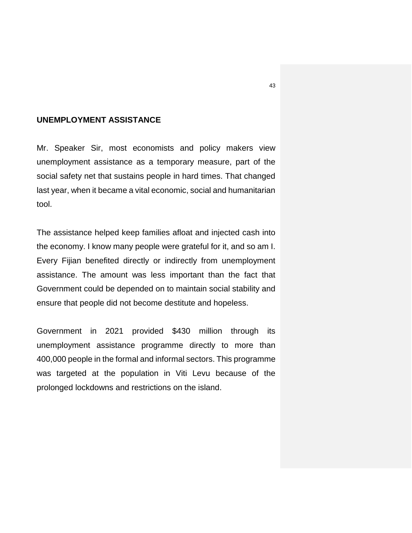### **UNEMPLOYMENT ASSISTANCE**

Mr. Speaker Sir, most economists and policy makers view unemployment assistance as a temporary measure, part of the social safety net that sustains people in hard times. That changed last year, when it became a vital economic, social and humanitarian tool.

The assistance helped keep families afloat and injected cash into the economy. I know many people were grateful for it, and so am I. Every Fijian benefited directly or indirectly from unemployment assistance. The amount was less important than the fact that Government could be depended on to maintain social stability and ensure that people did not become destitute and hopeless.

Government in 2021 provided \$430 million through its unemployment assistance programme directly to more than 400,000 people in the formal and informal sectors. This programme was targeted at the population in Viti Levu because of the prolonged lockdowns and restrictions on the island.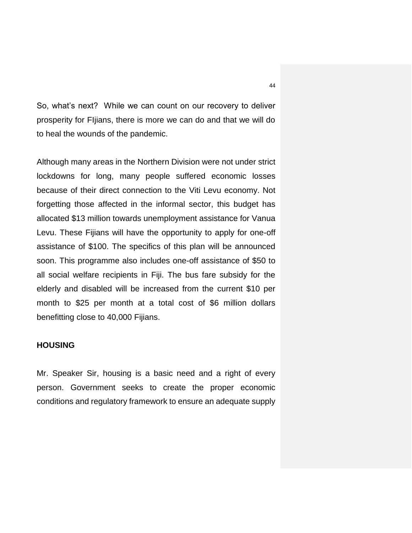So, what's next? While we can count on our recovery to deliver prosperity for FIjians, there is more we can do and that we will do to heal the wounds of the pandemic.

Although many areas in the Northern Division were not under strict lockdowns for long, many people suffered economic losses because of their direct connection to the Viti Levu economy. Not forgetting those affected in the informal sector, this budget has allocated \$13 million towards unemployment assistance for Vanua Levu. These Fijians will have the opportunity to apply for one-off assistance of \$100. The specifics of this plan will be announced soon. This programme also includes one-off assistance of \$50 to all social welfare recipients in Fiji. The bus fare subsidy for the elderly and disabled will be increased from the current \$10 per month to \$25 per month at a total cost of \$6 million dollars benefitting close to 40,000 Fijians.

#### **HOUSING**

Mr. Speaker Sir, housing is a basic need and a right of every person. Government seeks to create the proper economic conditions and regulatory framework to ensure an adequate supply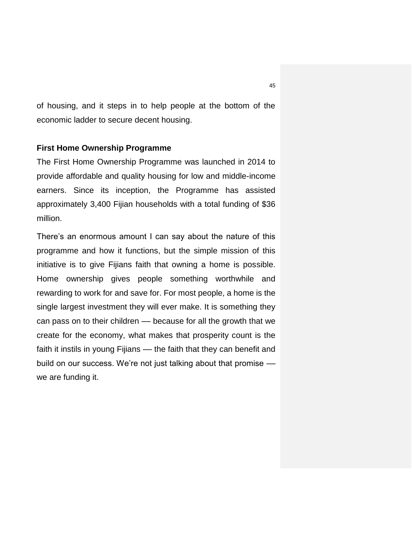of housing, and it steps in to help people at the bottom of the economic ladder to secure decent housing.

#### **First Home Ownership Programme**

The First Home Ownership Programme was launched in 2014 to provide affordable and quality housing for low and middle-income earners. Since its inception, the Programme has assisted approximately 3,400 Fijian households with a total funding of \$36 million.

There's an enormous amount I can say about the nature of this programme and how it functions, but the simple mission of this initiative is to give Fijians faith that owning a home is possible. Home ownership gives people something worthwhile and rewarding to work for and save for. For most people, a home is the single largest investment they will ever make. It is something they can pass on to their children — because for all the growth that we create for the economy, what makes that prosperity count is the faith it instils in young Fijians — the faith that they can benefit and build on our success. We're not just talking about that promise –– we are funding it.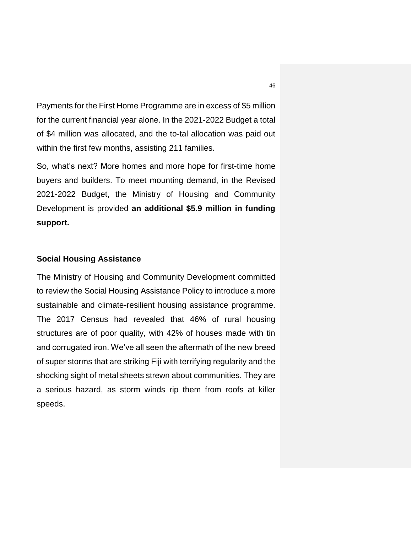Payments for the First Home Programme are in excess of \$5 million for the current financial year alone. In the 2021-2022 Budget a total of \$4 million was allocated, and the to-tal allocation was paid out within the first few months, assisting 211 families.

So, what's next? More homes and more hope for first-time home buyers and builders. To meet mounting demand, in the Revised 2021-2022 Budget, the Ministry of Housing and Community Development is provided **an additional \$5.9 million in funding support.** 

#### **Social Housing Assistance**

The Ministry of Housing and Community Development committed to review the Social Housing Assistance Policy to introduce a more sustainable and climate-resilient housing assistance programme. The 2017 Census had revealed that 46% of rural housing structures are of poor quality, with 42% of houses made with tin and corrugated iron. We've all seen the aftermath of the new breed of super storms that are striking Fiji with terrifying regularity and the shocking sight of metal sheets strewn about communities. They are a serious hazard, as storm winds rip them from roofs at killer speeds.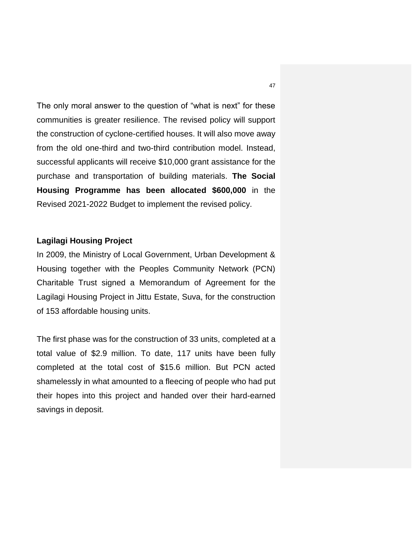The only moral answer to the question of "what is next" for these communities is greater resilience. The revised policy will support the construction of cyclone-certified houses. It will also move away from the old one-third and two-third contribution model. Instead, successful applicants will receive \$10,000 grant assistance for the purchase and transportation of building materials. **The Social Housing Programme has been allocated \$600,000** in the Revised 2021-2022 Budget to implement the revised policy.

# **Lagilagi Housing Project**

In 2009, the Ministry of Local Government, Urban Development & Housing together with the Peoples Community Network (PCN) Charitable Trust signed a Memorandum of Agreement for the Lagilagi Housing Project in Jittu Estate, Suva, for the construction of 153 affordable housing units.

The first phase was for the construction of 33 units, completed at a total value of \$2.9 million. To date, 117 units have been fully completed at the total cost of \$15.6 million. But PCN acted shamelessly in what amounted to a fleecing of people who had put their hopes into this project and handed over their hard-earned savings in deposit.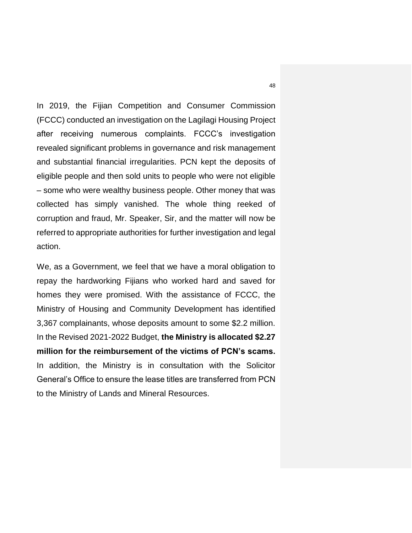In 2019, the Fijian Competition and Consumer Commission (FCCC) conducted an investigation on the Lagilagi Housing Project after receiving numerous complaints. FCCC's investigation revealed significant problems in governance and risk management and substantial financial irregularities. PCN kept the deposits of eligible people and then sold units to people who were not eligible – some who were wealthy business people. Other money that was collected has simply vanished. The whole thing reeked of corruption and fraud, Mr. Speaker, Sir, and the matter will now be referred to appropriate authorities for further investigation and legal action.

We, as a Government, we feel that we have a moral obligation to repay the hardworking Fijians who worked hard and saved for homes they were promised. With the assistance of FCCC, the Ministry of Housing and Community Development has identified 3,367 complainants, whose deposits amount to some \$2.2 million. In the Revised 2021-2022 Budget, **the Ministry is allocated \$2.27 million for the reimbursement of the victims of PCN's scams.** In addition, the Ministry is in consultation with the Solicitor General's Office to ensure the lease titles are transferred from PCN to the Ministry of Lands and Mineral Resources.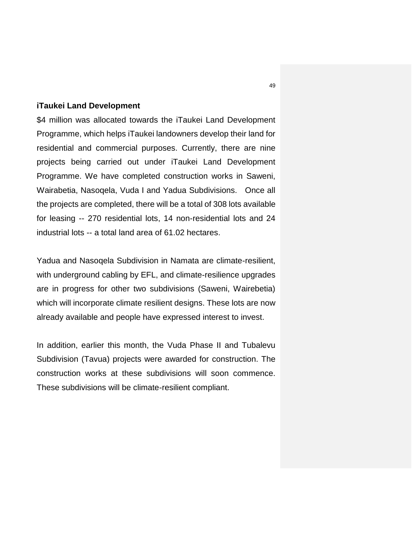#### **iTaukei Land Development**

\$4 million was allocated towards the iTaukei Land Development Programme, which helps iTaukei landowners develop their land for residential and commercial purposes. Currently, there are nine projects being carried out under iTaukei Land Development Programme. We have completed construction works in Saweni, Wairabetia, Nasoqela, Vuda I and Yadua Subdivisions. Once all the projects are completed, there will be a total of 308 lots available for leasing -- 270 residential lots, 14 non-residential lots and 24 industrial lots -- a total land area of 61.02 hectares.

Yadua and Nasoqela Subdivision in Namata are climate-resilient, with underground cabling by EFL, and climate-resilience upgrades are in progress for other two subdivisions (Saweni, Wairebetia) which will incorporate climate resilient designs. These lots are now already available and people have expressed interest to invest.

In addition, earlier this month, the Vuda Phase II and Tubalevu Subdivision (Tavua) projects were awarded for construction. The construction works at these subdivisions will soon commence. These subdivisions will be climate-resilient compliant.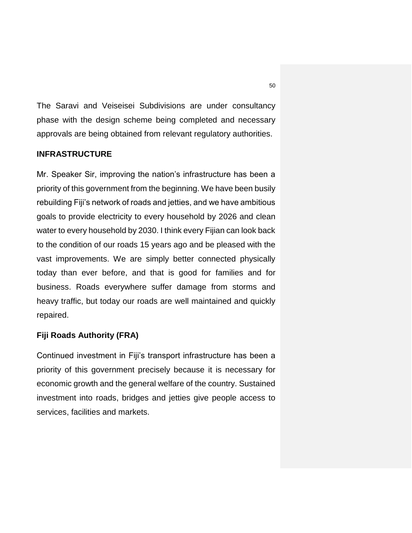The Saravi and Veiseisei Subdivisions are under consultancy phase with the design scheme being completed and necessary approvals are being obtained from relevant regulatory authorities.

# **INFRASTRUCTURE**

Mr. Speaker Sir, improving the nation's infrastructure has been a priority of this government from the beginning. We have been busily rebuilding Fiji's network of roads and jetties, and we have ambitious goals to provide electricity to every household by 2026 and clean water to every household by 2030. I think every Fijian can look back to the condition of our roads 15 years ago and be pleased with the vast improvements. We are simply better connected physically today than ever before, and that is good for families and for business. Roads everywhere suffer damage from storms and heavy traffic, but today our roads are well maintained and quickly repaired.

# **Fiji Roads Authority (FRA)**

Continued investment in Fiji's transport infrastructure has been a priority of this government precisely because it is necessary for economic growth and the general welfare of the country. Sustained investment into roads, bridges and jetties give people access to services, facilities and markets.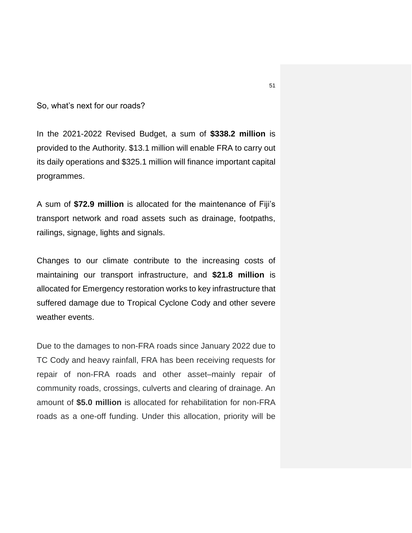So, what's next for our roads?

In the 2021-2022 Revised Budget, a sum of **\$338.2 million** is provided to the Authority. \$13.1 million will enable FRA to carry out its daily operations and \$325.1 million will finance important capital programmes.

A sum of **\$72.9 million** is allocated for the maintenance of Fiji's transport network and road assets such as drainage, footpaths, railings, signage, lights and signals.

Changes to our climate contribute to the increasing costs of maintaining our transport infrastructure, and **\$21.8 million** is allocated for Emergency restoration works to key infrastructure that suffered damage due to Tropical Cyclone Cody and other severe weather events.

Due to the damages to non-FRA roads since January 2022 due to TC Cody and heavy rainfall, FRA has been receiving requests for repair of non-FRA roads and other asset–mainly repair of community roads, crossings, culverts and clearing of drainage. An amount of **\$5.0 million** is allocated for rehabilitation for non-FRA roads as a one-off funding. Under this allocation, priority will be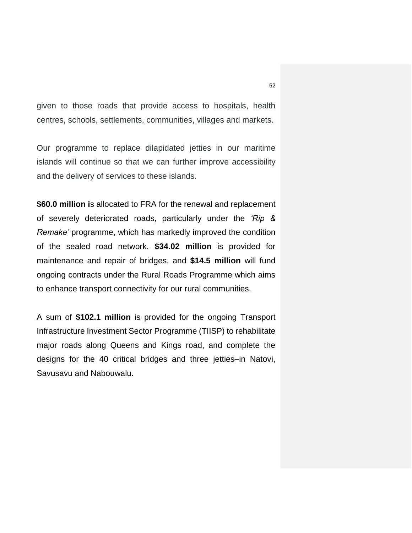given to those roads that provide access to hospitals, health centres, schools, settlements, communities, villages and markets.

Our programme to replace dilapidated jetties in our maritime islands will continue so that we can further improve accessibility and the delivery of services to these islands.

**\$60.0 million i**s allocated to FRA for the renewal and replacement of severely deteriorated roads, particularly under the *'Rip & Remake'* programme, which has markedly improved the condition of the sealed road network. **\$34.02 million** is provided for maintenance and repair of bridges, and **\$14.5 million** will fund ongoing contracts under the Rural Roads Programme which aims to enhance transport connectivity for our rural communities.

A sum of **\$102.1 million** is provided for the ongoing Transport Infrastructure Investment Sector Programme (TIISP) to rehabilitate major roads along Queens and Kings road, and complete the designs for the 40 critical bridges and three jetties–in Natovi, Savusavu and Nabouwalu.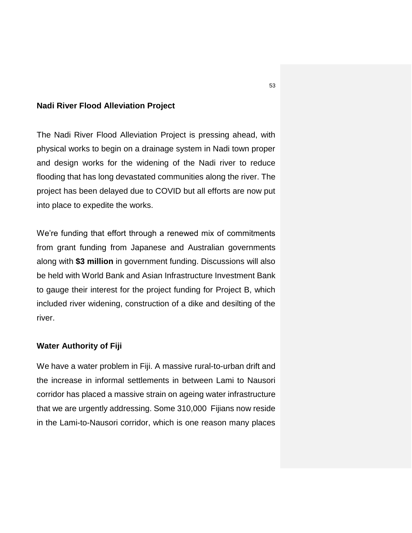#### **Nadi River Flood Alleviation Project**

The Nadi River Flood Alleviation Project is pressing ahead, with physical works to begin on a drainage system in Nadi town proper and design works for the widening of the Nadi river to reduce flooding that has long devastated communities along the river. The project has been delayed due to COVID but all efforts are now put into place to expedite the works.

We're funding that effort through a renewed mix of commitments from grant funding from Japanese and Australian governments along with **\$3 million** in government funding. Discussions will also be held with World Bank and Asian Infrastructure Investment Bank to gauge their interest for the project funding for Project B, which included river widening, construction of a dike and desilting of the river.

#### **Water Authority of Fiji**

We have a water problem in Fiji. A massive rural-to-urban drift and the increase in informal settlements in between Lami to Nausori corridor has placed a massive strain on ageing water infrastructure that we are urgently addressing. Some 310,000 Fijians now reside in the Lami-to-Nausori corridor, which is one reason many places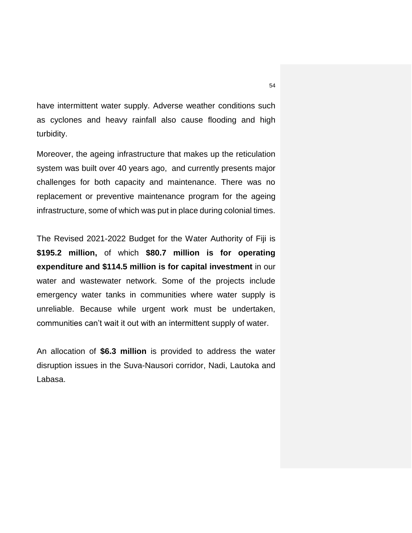have intermittent water supply. Adverse weather conditions such as cyclones and heavy rainfall also cause flooding and high turbidity.

Moreover, the ageing infrastructure that makes up the reticulation system was built over 40 years ago, and currently presents major challenges for both capacity and maintenance. There was no replacement or preventive maintenance program for the ageing infrastructure, some of which was put in place during colonial times.

The Revised 2021-2022 Budget for the Water Authority of Fiji is **\$195.2 million,** of which **\$80.7 million is for operating expenditure and \$114.5 million is for capital investment** in our water and wastewater network. Some of the projects include emergency water tanks in communities where water supply is unreliable. Because while urgent work must be undertaken, communities can't wait it out with an intermittent supply of water.

An allocation of **\$6.3 million** is provided to address the water disruption issues in the Suva-Nausori corridor, Nadi, Lautoka and Labasa.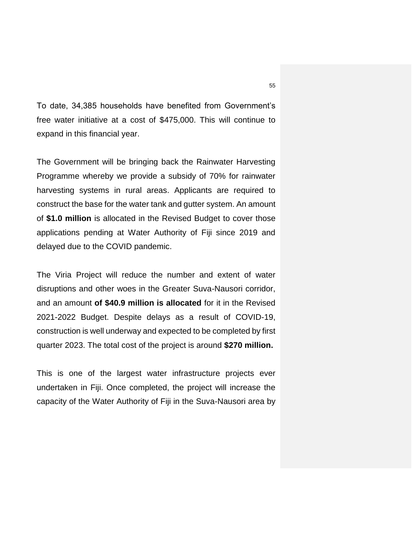To date, 34,385 households have benefited from Government's free water initiative at a cost of \$475,000. This will continue to expand in this financial year.

The Government will be bringing back the Rainwater Harvesting Programme whereby we provide a subsidy of 70% for rainwater harvesting systems in rural areas. Applicants are required to construct the base for the water tank and gutter system. An amount of **\$1.0 million** is allocated in the Revised Budget to cover those applications pending at Water Authority of Fiji since 2019 and delayed due to the COVID pandemic.

The Viria Project will reduce the number and extent of water disruptions and other woes in the Greater Suva-Nausori corridor, and an amount **of \$40.9 million is allocated** for it in the Revised 2021-2022 Budget. Despite delays as a result of COVID-19, construction is well underway and expected to be completed by first quarter 2023. The total cost of the project is around **\$270 million.**

This is one of the largest water infrastructure projects ever undertaken in Fiji. Once completed, the project will increase the capacity of the Water Authority of Fiji in the Suva-Nausori area by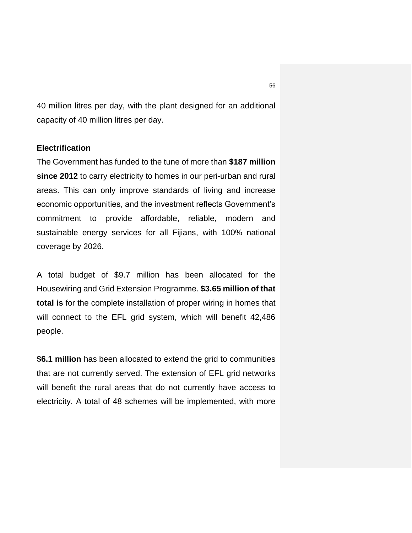40 million litres per day, with the plant designed for an additional capacity of 40 million litres per day.

# **Electrification**

The Government has funded to the tune of more than **\$187 million since 2012** to carry electricity to homes in our peri-urban and rural areas. This can only improve standards of living and increase economic opportunities, and the investment reflects Government's commitment to provide affordable, reliable, modern and sustainable energy services for all Fijians, with 100% national coverage by 2026.

A total budget of \$9.7 million has been allocated for the Housewiring and Grid Extension Programme. **\$3.65 million of that total is** for the complete installation of proper wiring in homes that will connect to the EFL grid system, which will benefit 42,486 people.

**\$6.1 million** has been allocated to extend the grid to communities that are not currently served. The extension of EFL grid networks will benefit the rural areas that do not currently have access to electricity. A total of 48 schemes will be implemented, with more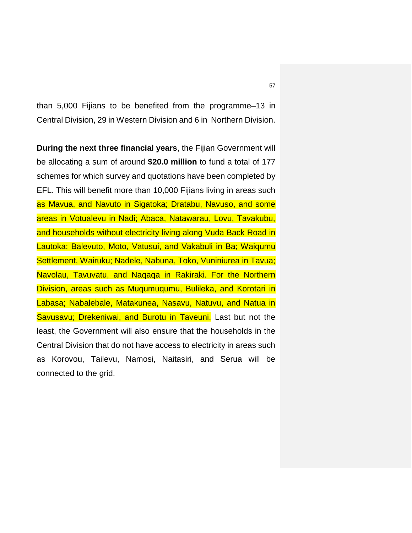than 5,000 Fijians to be benefited from the programme–13 in Central Division, 29 in Western Division and 6 in Northern Division.

**During the next three financial years**, the Fijian Government will be allocating a sum of around **\$20.0 million** to fund a total of 177 schemes for which survey and quotations have been completed by EFL. This will benefit more than 10,000 Fijians living in areas such as Mavua, and Navuto in Sigatoka; Dratabu, Navuso, and some areas in Votualevu in Nadi; Abaca, Natawarau, Lovu, Tavakubu, and households without electricity living along Vuda Back Road in Lautoka; Balevuto, Moto, Vatusui, and Vakabuli in Ba; Waiqumu Settlement, Wairuku; Nadele, Nabuna, Toko, Vuniniurea in Tavua; Navolau, Tavuvatu, and Naqaqa in Rakiraki. For the Northern Division, areas such as Muqumuqumu, Bulileka, and Korotari in Labasa; Nabalebale, Matakunea, Nasavu, Natuvu, and Natua in Savusavu; Drekeniwai, and Burotu in Taveuni. Last but not the least, the Government will also ensure that the households in the Central Division that do not have access to electricity in areas such as Korovou, Tailevu, Namosi, Naitasiri, and Serua will be connected to the grid.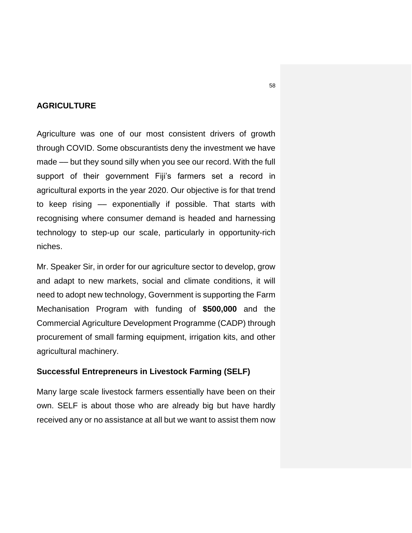# **AGRICULTURE**

Agriculture was one of our most consistent drivers of growth through COVID. Some obscurantists deny the investment we have made –– but they sound silly when you see our record. With the full support of their government Fiji's farmers set a record in agricultural exports in the year 2020. Our objective is for that trend to keep rising –– exponentially if possible. That starts with recognising where consumer demand is headed and harnessing technology to step-up our scale, particularly in opportunity-rich niches.

Mr. Speaker Sir, in order for our agriculture sector to develop, grow and adapt to new markets, social and climate conditions, it will need to adopt new technology, Government is supporting the Farm Mechanisation Program with funding of **\$500,000** and the Commercial Agriculture Development Programme (CADP) through procurement of small farming equipment, irrigation kits, and other agricultural machinery.

#### **Successful Entrepreneurs in Livestock Farming (SELF)**

Many large scale livestock farmers essentially have been on their own. SELF is about those who are already big but have hardly received any or no assistance at all but we want to assist them now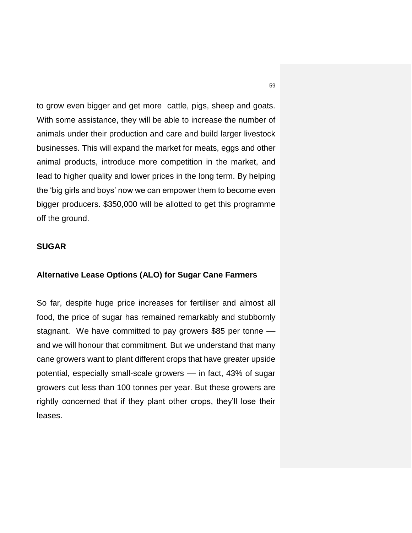to grow even bigger and get more cattle, pigs, sheep and goats. With some assistance, they will be able to increase the number of animals under their production and care and build larger livestock businesses. This will expand the market for meats, eggs and other animal products, introduce more competition in the market, and lead to higher quality and lower prices in the long term. By helping the 'big girls and boys' now we can empower them to become even bigger producers. \$350,000 will be allotted to get this programme off the ground.

# **SUGAR**

# **Alternative Lease Options (ALO) for Sugar Cane Farmers**

So far, despite huge price increases for fertiliser and almost all food, the price of sugar has remained remarkably and stubbornly stagnant. We have committed to pay growers \$85 per tonne and we will honour that commitment. But we understand that many cane growers want to plant different crops that have greater upside potential, especially small-scale growers –– in fact, 43% of sugar growers cut less than 100 tonnes per year. But these growers are rightly concerned that if they plant other crops, they'll lose their leases.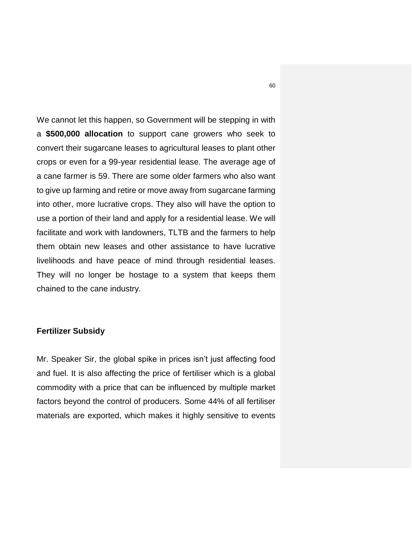We cannot let this happen, so Government will be stepping in with a **\$500,000 allocation** to support cane growers who seek to convert their sugarcane leases to agricultural leases to plant other crops or even for a 99-year residential lease. The average age of a cane farmer is 59. There are some older farmers who also want to give up farming and retire or move away from sugarcane farming into other, more lucrative crops. They also will have the option to use a portion of their land and apply for a residential lease. We will facilitate and work with landowners, TLTB and the farmers to help them obtain new leases and other assistance to have lucrative livelihoods and have peace of mind through residential leases. They will no longer be hostage to a system that keeps them chained to the cane industry.

# **Fertilizer Subsidy**

Mr. Speaker Sir, the global spike in prices isn't just affecting food and fuel. It is also affecting the price of fertiliser which is a global commodity with a price that can be influenced by multiple market factors beyond the control of producers. Some 44% of all fertiliser materials are exported, which makes it highly sensitive to events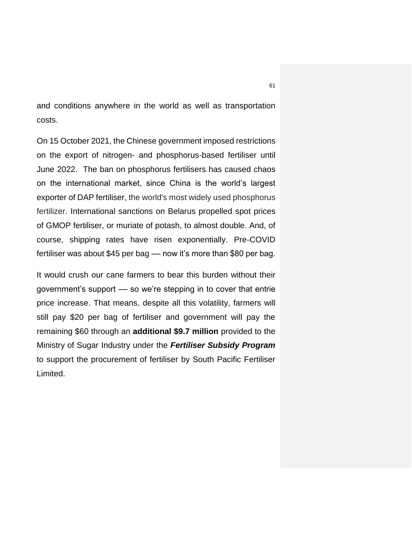and conditions anywhere in the world as well as transportation costs.

On 15 October 2021, the Chinese government imposed restrictions on the export of nitrogen- and phosphorus-based fertiliser until June 2022. The ban on phosphorus fertilisers has caused chaos on the international market, since China is the world's largest exporter of DAP fertiliser, the world's most widely used phosphorus fertilizer. International sanctions on Belarus propelled spot prices of GMOP fertiliser, or muriate of potash, to almost double. And, of course, shipping rates have risen exponentially. Pre-COVID fertiliser was about \$45 per bag –– now it's more than \$80 per bag.

It would crush our cane farmers to bear this burden without their government's support –– so we're stepping in to cover that entrie price increase. That means, despite all this volatility, farmers will still pay \$20 per bag of fertiliser and government will pay the remaining \$60 through an **additional \$9.7 million** provided to the Ministry of Sugar Industry under the *Fertiliser Subsidy Program* to support the procurement of fertiliser by South Pacific Fertiliser Limited.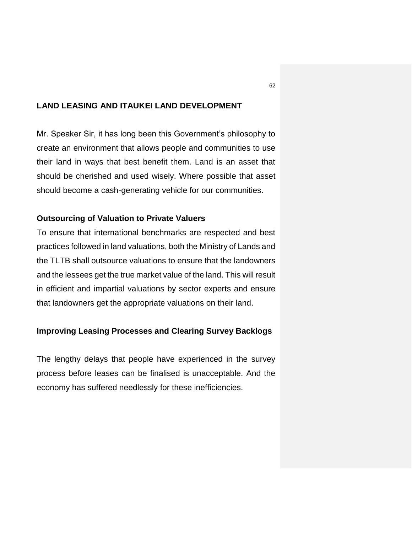# **LAND LEASING AND ITAUKEI LAND DEVELOPMENT**

Mr. Speaker Sir, it has long been this Government's philosophy to create an environment that allows people and communities to use their land in ways that best benefit them. Land is an asset that should be cherished and used wisely. Where possible that asset should become a cash-generating vehicle for our communities.

# **Outsourcing of Valuation to Private Valuers**

To ensure that international benchmarks are respected and best practices followed in land valuations, both the Ministry of Lands and the TLTB shall outsource valuations to ensure that the landowners and the lessees get the true market value of the land. This will result in efficient and impartial valuations by sector experts and ensure that landowners get the appropriate valuations on their land.

#### **Improving Leasing Processes and Clearing Survey Backlogs**

The lengthy delays that people have experienced in the survey process before leases can be finalised is unacceptable. And the economy has suffered needlessly for these inefficiencies.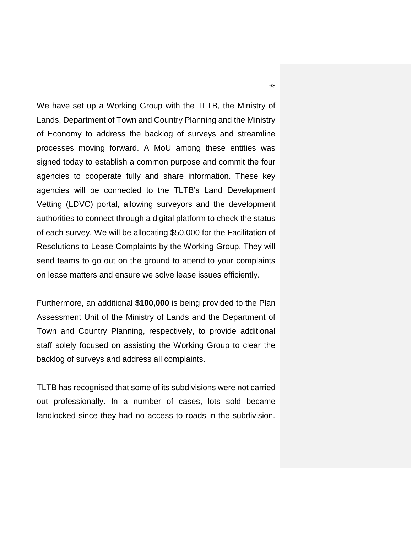We have set up a Working Group with the TLTB, the Ministry of Lands, Department of Town and Country Planning and the Ministry of Economy to address the backlog of surveys and streamline processes moving forward. A MoU among these entities was signed today to establish a common purpose and commit the four agencies to cooperate fully and share information. These key agencies will be connected to the TLTB's Land Development Vetting (LDVC) portal, allowing surveyors and the development authorities to connect through a digital platform to check the status of each survey. We will be allocating \$50,000 for the Facilitation of Resolutions to Lease Complaints by the Working Group. They will send teams to go out on the ground to attend to your complaints on lease matters and ensure we solve lease issues efficiently.

Furthermore, an additional **\$100,000** is being provided to the Plan Assessment Unit of the Ministry of Lands and the Department of Town and Country Planning, respectively, to provide additional staff solely focused on assisting the Working Group to clear the backlog of surveys and address all complaints.

TLTB has recognised that some of its subdivisions were not carried out professionally. In a number of cases, lots sold became landlocked since they had no access to roads in the subdivision.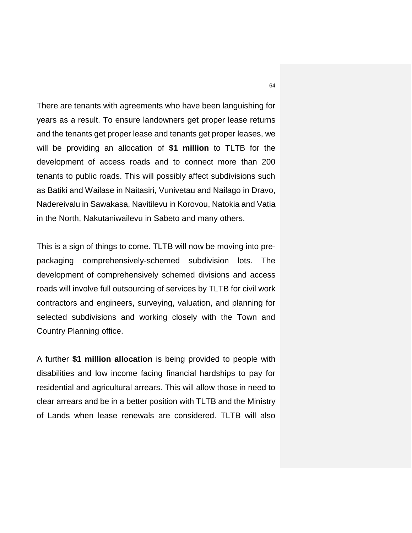There are tenants with agreements who have been languishing for years as a result. To ensure landowners get proper lease returns and the tenants get proper lease and tenants get proper leases, we will be providing an allocation of **\$1 million** to TLTB for the development of access roads and to connect more than 200 tenants to public roads. This will possibly affect subdivisions such as Batiki and Wailase in Naitasiri, Vunivetau and Nailago in Dravo, Nadereivalu in Sawakasa, Navitilevu in Korovou, Natokia and Vatia in the North, Nakutaniwailevu in Sabeto and many others.

This is a sign of things to come. TLTB will now be moving into prepackaging comprehensively-schemed subdivision lots. The development of comprehensively schemed divisions and access roads will involve full outsourcing of services by TLTB for civil work contractors and engineers, surveying, valuation, and planning for selected subdivisions and working closely with the Town and Country Planning office.

A further **\$1 million allocation** is being provided to people with disabilities and low income facing financial hardships to pay for residential and agricultural arrears. This will allow those in need to clear arrears and be in a better position with TLTB and the Ministry of Lands when lease renewals are considered. TLTB will also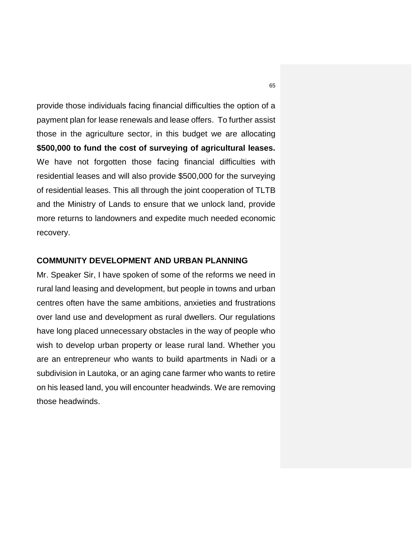provide those individuals facing financial difficulties the option of a payment plan for lease renewals and lease offers. To further assist those in the agriculture sector, in this budget we are allocating **\$500,000 to fund the cost of surveying of agricultural leases.** We have not forgotten those facing financial difficulties with residential leases and will also provide \$500,000 for the surveying of residential leases. This all through the joint cooperation of TLTB and the Ministry of Lands to ensure that we unlock land, provide more returns to landowners and expedite much needed economic recovery.

# **COMMUNITY DEVELOPMENT AND URBAN PLANNING**

Mr. Speaker Sir, I have spoken of some of the reforms we need in rural land leasing and development, but people in towns and urban centres often have the same ambitions, anxieties and frustrations over land use and development as rural dwellers. Our regulations have long placed unnecessary obstacles in the way of people who wish to develop urban property or lease rural land. Whether you are an entrepreneur who wants to build apartments in Nadi or a subdivision in Lautoka, or an aging cane farmer who wants to retire on his leased land, you will encounter headwinds. We are removing those headwinds.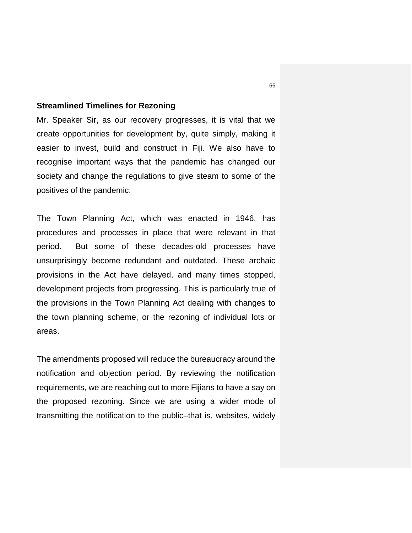#### **Streamlined Timelines for Rezoning**

Mr. Speaker Sir, as our recovery progresses, it is vital that we create opportunities for development by, quite simply, making it easier to invest, build and construct in Fiji. We also have to recognise important ways that the pandemic has changed our society and change the regulations to give steam to some of the positives of the pandemic.

The Town Planning Act, which was enacted in 1946, has procedures and processes in place that were relevant in that period. But some of these decades-old processes have unsurprisingly become redundant and outdated. These archaic provisions in the Act have delayed, and many times stopped, development projects from progressing. This is particularly true of the provisions in the Town Planning Act dealing with changes to the town planning scheme, or the rezoning of individual lots or areas.

The amendments proposed will reduce the bureaucracy around the notification and objection period. By reviewing the notification requirements, we are reaching out to more Fijians to have a say on the proposed rezoning. Since we are using a wider mode of transmitting the notification to the public–that is, websites, widely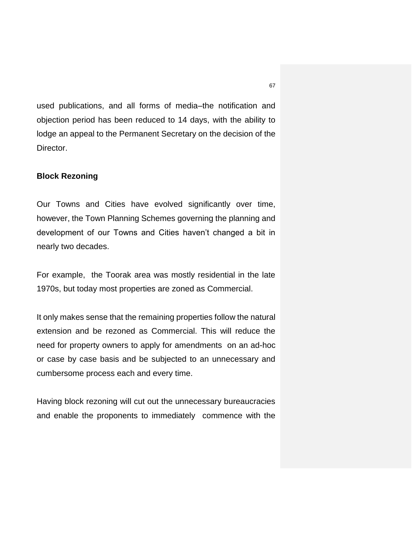used publications, and all forms of media–the notification and objection period has been reduced to 14 days, with the ability to lodge an appeal to the Permanent Secretary on the decision of the Director.

#### **Block Rezoning**

Our Towns and Cities have evolved significantly over time, however, the Town Planning Schemes governing the planning and development of our Towns and Cities haven't changed a bit in nearly two decades.

For example, the Toorak area was mostly residential in the late 1970s, but today most properties are zoned as Commercial.

It only makes sense that the remaining properties follow the natural extension and be rezoned as Commercial. This will reduce the need for property owners to apply for amendments on an ad-hoc or case by case basis and be subjected to an unnecessary and cumbersome process each and every time.

Having block rezoning will cut out the unnecessary bureaucracies and enable the proponents to immediately commence with the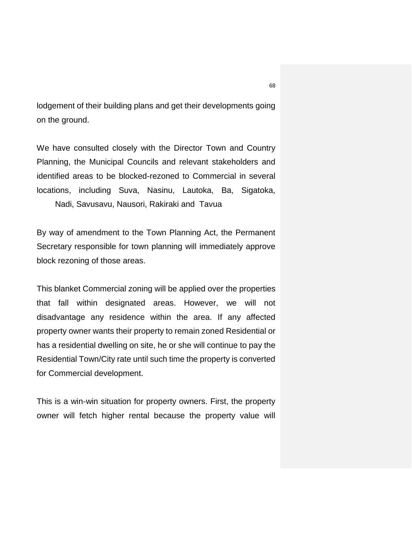lodgement of their building plans and get their developments going on the ground.

We have consulted closely with the Director Town and Country Planning, the Municipal Councils and relevant stakeholders and identified areas to be blocked-rezoned to Commercial in several locations, including Suva, Nasinu, Lautoka, Ba, Sigatoka, Nadi, Savusavu, Nausori, Rakiraki and Tavua

By way of amendment to the Town Planning Act, the Permanent Secretary responsible for town planning will immediately approve block rezoning of those areas.

This blanket Commercial zoning will be applied over the properties that fall within designated areas. However, we will not disadvantage any residence within the area. If any affected property owner wants their property to remain zoned Residential or has a residential dwelling on site, he or she will continue to pay the Residential Town/City rate until such time the property is converted for Commercial development.

This is a win-win situation for property owners. First, the property owner will fetch higher rental because the property value will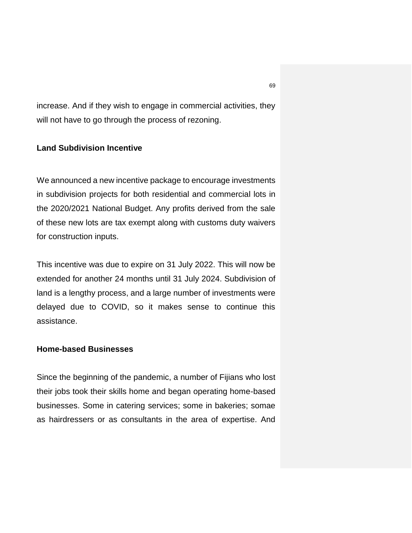increase. And if they wish to engage in commercial activities, they will not have to go through the process of rezoning.

#### **Land Subdivision Incentive**

We announced a new incentive package to encourage investments in subdivision projects for both residential and commercial lots in the 2020/2021 National Budget. Any profits derived from the sale of these new lots are tax exempt along with customs duty waivers for construction inputs.

This incentive was due to expire on 31 July 2022. This will now be extended for another 24 months until 31 July 2024. Subdivision of land is a lengthy process, and a large number of investments were delayed due to COVID, so it makes sense to continue this assistance.

#### **Home-based Businesses**

Since the beginning of the pandemic, a number of Fijians who lost their jobs took their skills home and began operating home-based businesses. Some in catering services; some in bakeries; somae as hairdressers or as consultants in the area of expertise. And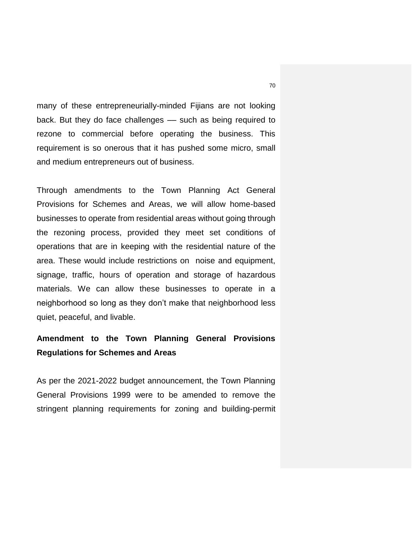many of these entrepreneurially-minded Fijians are not looking back. But they do face challenges –– such as being required to rezone to commercial before operating the business. This requirement is so onerous that it has pushed some micro, small and medium entrepreneurs out of business.

Through amendments to the Town Planning Act General Provisions for Schemes and Areas, we will allow home-based businesses to operate from residential areas without going through the rezoning process, provided they meet set conditions of operations that are in keeping with the residential nature of the area. These would include restrictions on noise and equipment, signage, traffic, hours of operation and storage of hazardous materials. We can allow these businesses to operate in a neighborhood so long as they don't make that neighborhood less quiet, peaceful, and livable.

# **Amendment to the Town Planning General Provisions Regulations for Schemes and Areas**

As per the 2021-2022 budget announcement, the Town Planning General Provisions 1999 were to be amended to remove the stringent planning requirements for zoning and building-permit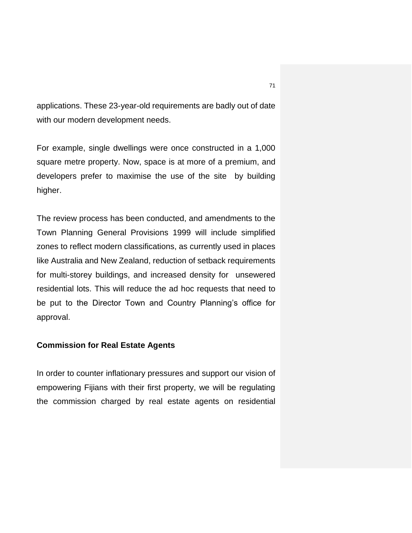applications. These 23-year-old requirements are badly out of date with our modern development needs.

For example, single dwellings were once constructed in a 1,000 square metre property. Now, space is at more of a premium, and developers prefer to maximise the use of the site by building higher.

The review process has been conducted, and amendments to the Town Planning General Provisions 1999 will include simplified zones to reflect modern classifications, as currently used in places like Australia and New Zealand, reduction of setback requirements for multi-storey buildings, and increased density for unsewered residential lots. This will reduce the ad hoc requests that need to be put to the Director Town and Country Planning's office for approval.

#### **Commission for Real Estate Agents**

In order to counter inflationary pressures and support our vision of empowering Fijians with their first property, we will be regulating the commission charged by real estate agents on residential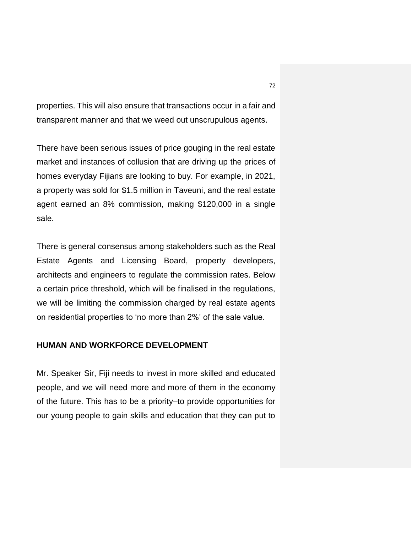properties. This will also ensure that transactions occur in a fair and transparent manner and that we weed out unscrupulous agents.

There have been serious issues of price gouging in the real estate market and instances of collusion that are driving up the prices of homes everyday Fijians are looking to buy. For example, in 2021, a property was sold for \$1.5 million in Taveuni, and the real estate agent earned an 8% commission, making \$120,000 in a single sale.

There is general consensus among stakeholders such as the Real Estate Agents and Licensing Board, property developers, architects and engineers to regulate the commission rates. Below a certain price threshold, which will be finalised in the regulations, we will be limiting the commission charged by real estate agents on residential properties to 'no more than 2%' of the sale value.

#### **HUMAN AND WORKFORCE DEVELOPMENT**

Mr. Speaker Sir, Fiji needs to invest in more skilled and educated people, and we will need more and more of them in the economy of the future. This has to be a priority–to provide opportunities for our young people to gain skills and education that they can put to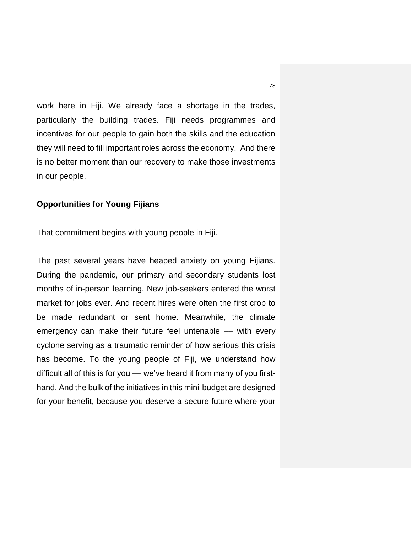work here in Fiji. We already face a shortage in the trades, particularly the building trades. Fiji needs programmes and incentives for our people to gain both the skills and the education they will need to fill important roles across the economy. And there is no better moment than our recovery to make those investments in our people.

### **Opportunities for Young Fijians**

That commitment begins with young people in Fiji.

The past several years have heaped anxiety on young Fijians. During the pandemic, our primary and secondary students lost months of in-person learning. New job-seekers entered the worst market for jobs ever. And recent hires were often the first crop to be made redundant or sent home. Meanwhile, the climate emergency can make their future feel untenable - with every cyclone serving as a traumatic reminder of how serious this crisis has become. To the young people of Fiji, we understand how difficult all of this is for you –– we've heard it from many of you firsthand. And the bulk of the initiatives in this mini-budget are designed for your benefit, because you deserve a secure future where your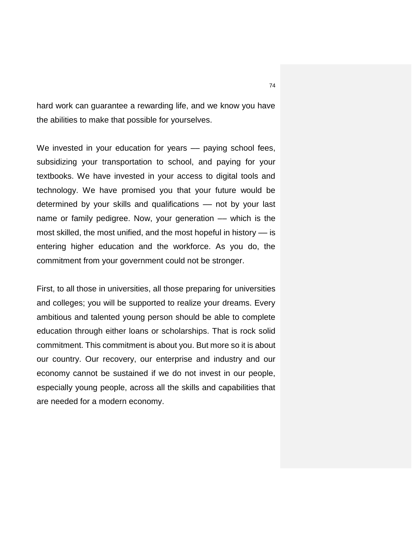hard work can guarantee a rewarding life, and we know you have the abilities to make that possible for yourselves.

We invested in your education for years –– paying school fees, subsidizing your transportation to school, and paying for your textbooks. We have invested in your access to digital tools and technology. We have promised you that your future would be determined by your skills and qualifications – not by your last name or family pedigree. Now, your generation - which is the most skilled, the most unified, and the most hopeful in history –– is entering higher education and the workforce. As you do, the commitment from your government could not be stronger.

First, to all those in universities, all those preparing for universities and colleges; you will be supported to realize your dreams. Every ambitious and talented young person should be able to complete education through either loans or scholarships. That is rock solid commitment. This commitment is about you. But more so it is about our country. Our recovery, our enterprise and industry and our economy cannot be sustained if we do not invest in our people, especially young people, across all the skills and capabilities that are needed for a modern economy.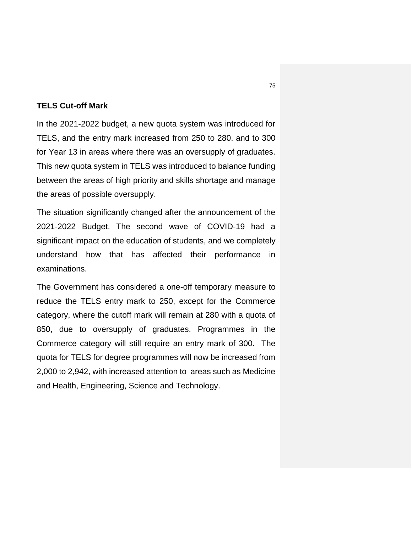## **TELS Cut-off Mark**

In the 2021-2022 budget, a new quota system was introduced for TELS, and the entry mark increased from 250 to 280. and to 300 for Year 13 in areas where there was an oversupply of graduates. This new quota system in TELS was introduced to balance funding between the areas of high priority and skills shortage and manage the areas of possible oversupply.

The situation significantly changed after the announcement of the 2021-2022 Budget. The second wave of COVID-19 had a significant impact on the education of students, and we completely understand how that has affected their performance in examinations.

The Government has considered a one-off temporary measure to reduce the TELS entry mark to 250, except for the Commerce category, where the cutoff mark will remain at 280 with a quota of 850, due to oversupply of graduates. Programmes in the Commerce category will still require an entry mark of 300. The quota for TELS for degree programmes will now be increased from 2,000 to 2,942, with increased attention to areas such as Medicine and Health, Engineering, Science and Technology.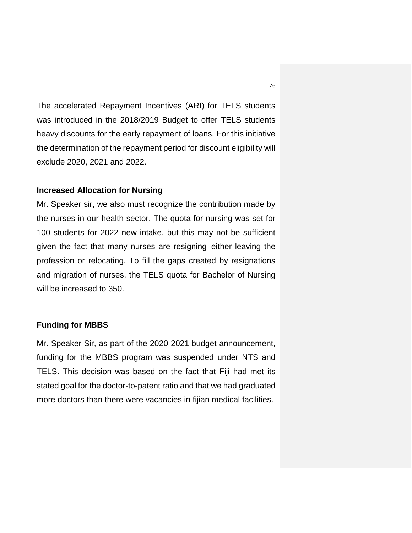The accelerated Repayment Incentives (ARI) for TELS students was introduced in the 2018/2019 Budget to offer TELS students heavy discounts for the early repayment of loans. For this initiative the determination of the repayment period for discount eligibility will exclude 2020, 2021 and 2022.

### **Increased Allocation for Nursing**

Mr. Speaker sir, we also must recognize the contribution made by the nurses in our health sector. The quota for nursing was set for 100 students for 2022 new intake, but this may not be sufficient given the fact that many nurses are resigning–either leaving the profession or relocating. To fill the gaps created by resignations and migration of nurses, the TELS quota for Bachelor of Nursing will be increased to 350.

## **Funding for MBBS**

Mr. Speaker Sir, as part of the 2020-2021 budget announcement, funding for the MBBS program was suspended under NTS and TELS. This decision was based on the fact that Fiji had met its stated goal for the doctor-to-patent ratio and that we had graduated more doctors than there were vacancies in fijian medical facilities.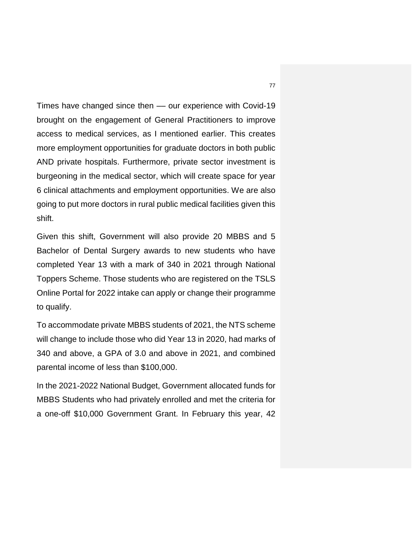Times have changed since then –– our experience with Covid-19 brought on the engagement of General Practitioners to improve access to medical services, as I mentioned earlier. This creates more employment opportunities for graduate doctors in both public AND private hospitals. Furthermore, private sector investment is burgeoning in the medical sector, which will create space for year 6 clinical attachments and employment opportunities. We are also going to put more doctors in rural public medical facilities given this shift.

Given this shift, Government will also provide 20 MBBS and 5 Bachelor of Dental Surgery awards to new students who have completed Year 13 with a mark of 340 in 2021 through National Toppers Scheme. Those students who are registered on the TSLS Online Portal for 2022 intake can apply or change their programme to qualify.

To accommodate private MBBS students of 2021, the NTS scheme will change to include those who did Year 13 in 2020, had marks of 340 and above, a GPA of 3.0 and above in 2021, and combined parental income of less than \$100,000.

In the 2021-2022 National Budget, Government allocated funds for MBBS Students who had privately enrolled and met the criteria for a one-off \$10,000 Government Grant. In February this year, 42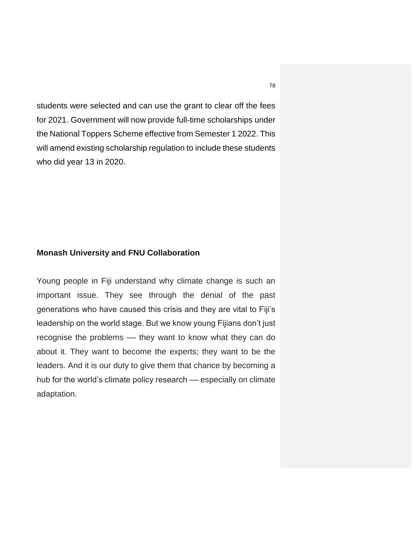students were selected and can use the grant to clear off the fees for 2021. Government will now provide full-time scholarships under the National Toppers Scheme effective from Semester 1 2022. This will amend existing scholarship regulation to include these students who did year 13 in 2020.

### **Monash University and FNU Collaboration**

Young people in Fiji understand why climate change is such an important issue. They see through the denial of the past generations who have caused this crisis and they are vital to Fiji's leadership on the world stage. But we know young Fijians don't just recognise the problems –– they want to know what they can do about it. They want to become the experts; they want to be the leaders. And it is our duty to give them that chance by becoming a hub for the world's climate policy research — especially on climate adaptation.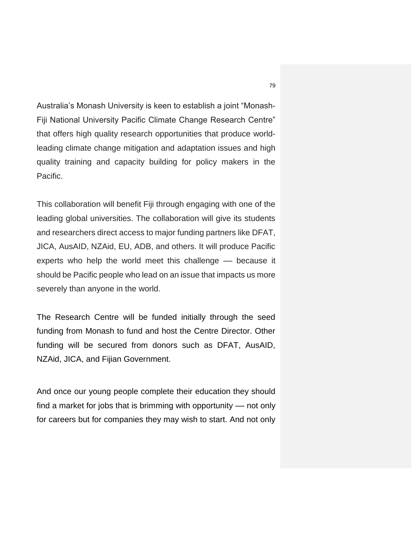Australia's Monash University is keen to establish a joint "Monash-Fiji National University Pacific Climate Change Research Centre" that offers high quality research opportunities that produce worldleading climate change mitigation and adaptation issues and high quality training and capacity building for policy makers in the Pacific.

This collaboration will benefit Fiji through engaging with one of the leading global universities. The collaboration will give its students and researchers direct access to major funding partners like DFAT, JICA, AusAID, NZAid, EU, ADB, and others. It will produce Pacific experts who help the world meet this challenge –– because it should be Pacific people who lead on an issue that impacts us more severely than anyone in the world.

The Research Centre will be funded initially through the seed funding from Monash to fund and host the Centre Director. Other funding will be secured from donors such as DFAT, AusAID, NZAid, JICA, and Fijian Government.

And once our young people complete their education they should find a market for jobs that is brimming with opportunity –– not only for careers but for companies they may wish to start. And not only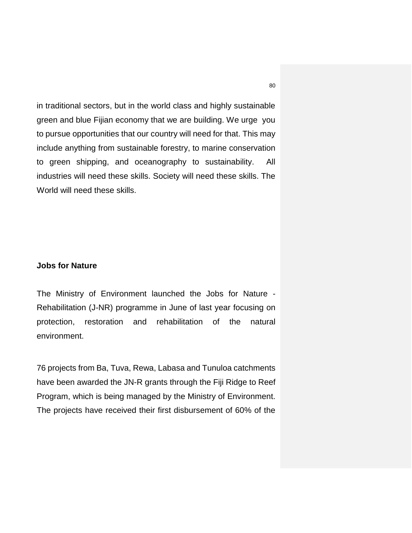in traditional sectors, but in the world class and highly sustainable green and blue Fijian economy that we are building. We urge you to pursue opportunities that our country will need for that. This may include anything from sustainable forestry, to marine conservation to green shipping, and oceanography to sustainability. All industries will need these skills. Society will need these skills. The World will need these skills.

### **Jobs for Nature**

The Ministry of Environment launched the Jobs for Nature - Rehabilitation (J-NR) programme in June of last year focusing on protection, restoration and rehabilitation of the natural environment.

76 projects from Ba, Tuva, Rewa, Labasa and Tunuloa catchments have been awarded the JN-R grants through the Fiji Ridge to Reef Program, which is being managed by the Ministry of Environment. The projects have received their first disbursement of 60% of the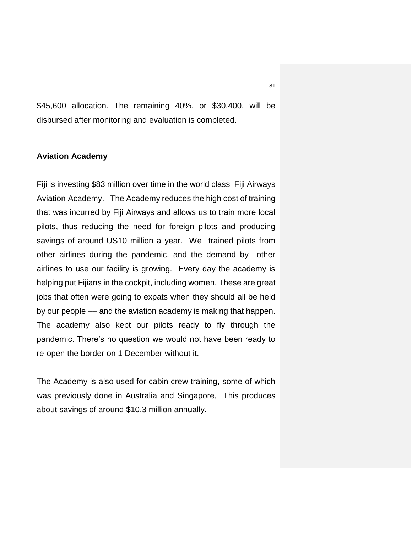\$45,600 allocation. The remaining 40%, or \$30,400, will be disbursed after monitoring and evaluation is completed.

### **Aviation Academy**

Fiji is investing \$83 million over time in the world class Fiji Airways Aviation Academy. The Academy reduces the high cost of training that was incurred by Fiji Airways and allows us to train more local pilots, thus reducing the need for foreign pilots and producing savings of around US10 million a year. We trained pilots from other airlines during the pandemic, and the demand by other airlines to use our facility is growing. Every day the academy is helping put Fijians in the cockpit, including women. These are great jobs that often were going to expats when they should all be held by our people –– and the aviation academy is making that happen. The academy also kept our pilots ready to fly through the pandemic. There's no question we would not have been ready to re-open the border on 1 December without it.

The Academy is also used for cabin crew training, some of which was previously done in Australia and Singapore, This produces about savings of around \$10.3 million annually.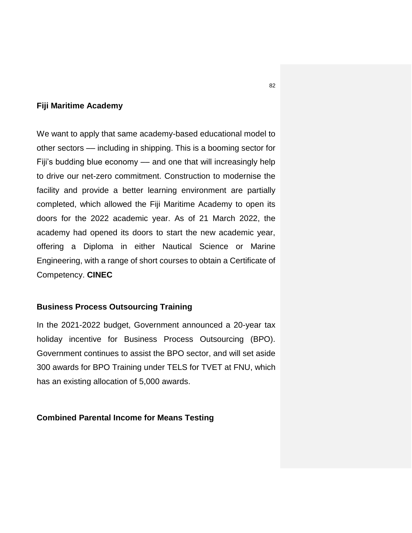### **Fiji Maritime Academy**

We want to apply that same academy-based educational model to other sectors –– including in shipping. This is a booming sector for Fiji's budding blue economy –– and one that will increasingly help to drive our net-zero commitment. Construction to modernise the facility and provide a better learning environment are partially completed, which allowed the Fiji Maritime Academy to open its doors for the 2022 academic year. As of 21 March 2022, the academy had opened its doors to start the new academic year, offering a Diploma in either Nautical Science or Marine Engineering, with a range of short courses to obtain a Certificate of Competency. **CINEC**

## **Business Process Outsourcing Training**

In the 2021-2022 budget, Government announced a 20-year tax holiday incentive for Business Process Outsourcing (BPO). Government continues to assist the BPO sector, and will set aside 300 awards for BPO Training under TELS for TVET at FNU, which has an existing allocation of 5,000 awards.

### **Combined Parental Income for Means Testing**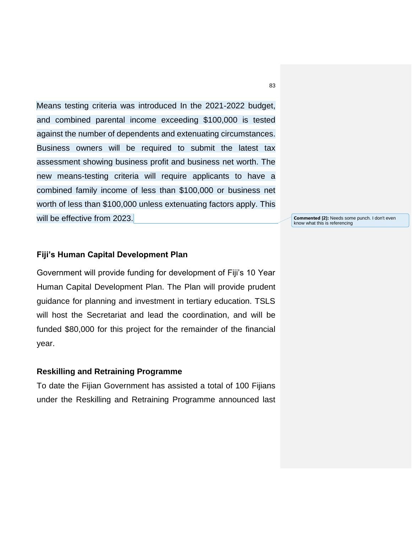Means testing criteria was introduced In the 2021-2022 budget, and combined parental income exceeding \$100,000 is tested against the number of dependents and extenuating circumstances. Business owners will be required to submit the latest tax assessment showing business profit and business net worth. The new means-testing criteria will require applicants to have a combined family income of less than \$100,000 or business net worth of less than \$100,000 unless extenuating factors apply. This will be effective from 2023.

### **Fiji's Human Capital Development Plan**

Government will provide funding for development of Fiji's 10 Year Human Capital Development Plan. The Plan will provide prudent guidance for planning and investment in tertiary education. TSLS will host the Secretariat and lead the coordination, and will be funded \$80,000 for this project for the remainder of the financial year.

### **Reskilling and Retraining Programme**

To date the Fijian Government has assisted a total of 100 Fijians under the Reskilling and Retraining Programme announced last

83

**Commented [2]:** Needs some punch. I don't even know what this is referencing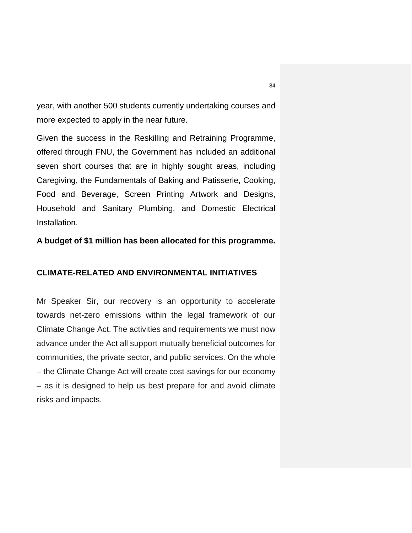year, with another 500 students currently undertaking courses and more expected to apply in the near future.

Given the success in the Reskilling and Retraining Programme, offered through FNU, the Government has included an additional seven short courses that are in highly sought areas, including Caregiving, the Fundamentals of Baking and Patisserie, Cooking, Food and Beverage, Screen Printing Artwork and Designs, Household and Sanitary Plumbing, and Domestic Electrical Installation.

## **A budget of \$1 million has been allocated for this programme.**

### **CLIMATE-RELATED AND ENVIRONMENTAL INITIATIVES**

Mr Speaker Sir, our recovery is an opportunity to accelerate towards net-zero emissions within the legal framework of our Climate Change Act. The activities and requirements we must now advance under the Act all support mutually beneficial outcomes for communities, the private sector, and public services. On the whole – the Climate Change Act will create cost-savings for our economy – as it is designed to help us best prepare for and avoid climate risks and impacts.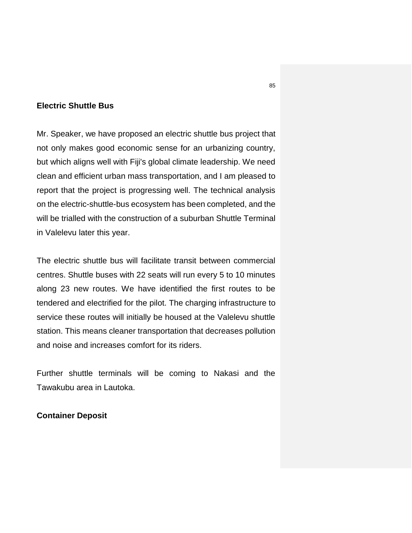## **Electric Shuttle Bus**

Mr. Speaker, we have proposed an electric shuttle bus project that not only makes good economic sense for an urbanizing country, but which aligns well with Fiji's global climate leadership. We need clean and efficient urban mass transportation, and I am pleased to report that the project is progressing well. The technical analysis on the electric-shuttle-bus ecosystem has been completed, and the will be trialled with the construction of a suburban Shuttle Terminal in Valelevu later this year.

The electric shuttle bus will facilitate transit between commercial centres. Shuttle buses with 22 seats will run every 5 to 10 minutes along 23 new routes. We have identified the first routes to be tendered and electrified for the pilot. The charging infrastructure to service these routes will initially be housed at the Valelevu shuttle station. This means cleaner transportation that decreases pollution and noise and increases comfort for its riders.

Further shuttle terminals will be coming to Nakasi and the Tawakubu area in Lautoka.

### **Container Deposit**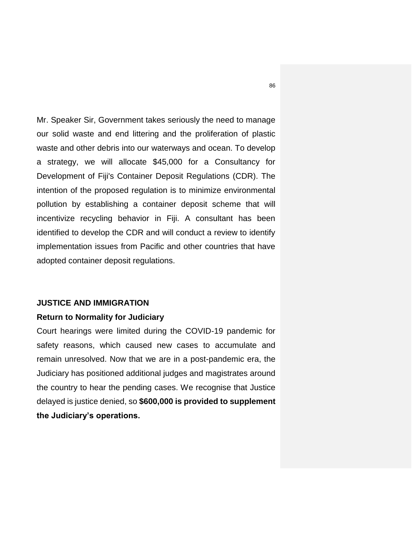Mr. Speaker Sir, Government takes seriously the need to manage our solid waste and end littering and the proliferation of plastic waste and other debris into our waterways and ocean. To develop a strategy, we will allocate \$45,000 for a Consultancy for Development of Fiji's Container Deposit Regulations (CDR). The intention of the proposed regulation is to minimize environmental pollution by establishing a container deposit scheme that will incentivize recycling behavior in Fiji. A consultant has been identified to develop the CDR and will conduct a review to identify implementation issues from Pacific and other countries that have adopted container deposit regulations.

#### **JUSTICE AND IMMIGRATION**

### **Return to Normality for Judiciary**

Court hearings were limited during the COVID-19 pandemic for safety reasons, which caused new cases to accumulate and remain unresolved. Now that we are in a post-pandemic era, the Judiciary has positioned additional judges and magistrates around the country to hear the pending cases. We recognise that Justice delayed is justice denied, so **\$600,000 is provided to supplement the Judiciary's operations.**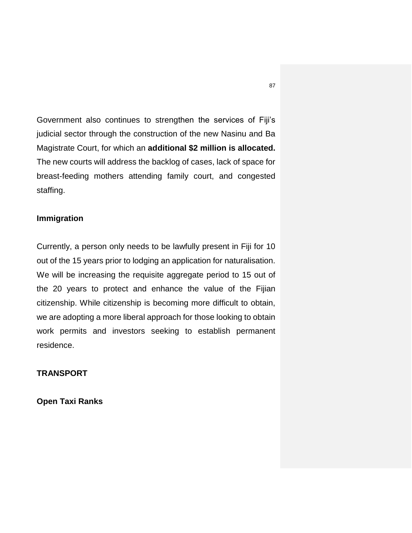Government also continues to strengthen the services of Fiji's judicial sector through the construction of the new Nasinu and Ba Magistrate Court, for which an **additional \$2 million is allocated.**  The new courts will address the backlog of cases, lack of space for breast-feeding mothers attending family court, and congested staffing.

## **Immigration**

Currently, a person only needs to be lawfully present in Fiji for 10 out of the 15 years prior to lodging an application for naturalisation. We will be increasing the requisite aggregate period to 15 out of the 20 years to protect and enhance the value of the Fijian citizenship. While citizenship is becoming more difficult to obtain, we are adopting a more liberal approach for those looking to obtain work permits and investors seeking to establish permanent residence.

# **TRANSPORT**

**Open Taxi Ranks**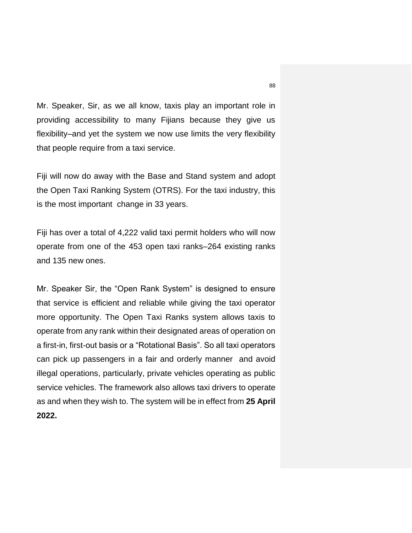Mr. Speaker, Sir, as we all know, taxis play an important role in providing accessibility to many Fijians because they give us flexibility–and yet the system we now use limits the very flexibility that people require from a taxi service.

Fiji will now do away with the Base and Stand system and adopt the Open Taxi Ranking System (OTRS). For the taxi industry, this is the most important change in 33 years.

Fiji has over a total of 4,222 valid taxi permit holders who will now operate from one of the 453 open taxi ranks–264 existing ranks and 135 new ones.

Mr. Speaker Sir, the "Open Rank System" is designed to ensure that service is efficient and reliable while giving the taxi operator more opportunity. The Open Taxi Ranks system allows taxis to operate from any rank within their designated areas of operation on a first-in, first-out basis or a "Rotational Basis". So all taxi operators can pick up passengers in a fair and orderly manner and avoid illegal operations, particularly, private vehicles operating as public service vehicles. The framework also allows taxi drivers to operate as and when they wish to. The system will be in effect from **25 April 2022.**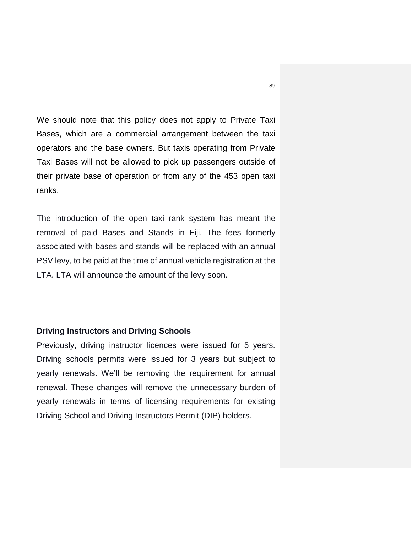We should note that this policy does not apply to Private Taxi Bases, which are a commercial arrangement between the taxi operators and the base owners. But taxis operating from Private Taxi Bases will not be allowed to pick up passengers outside of their private base of operation or from any of the 453 open taxi ranks.

The introduction of the open taxi rank system has meant the removal of paid Bases and Stands in Fiji. The fees formerly associated with bases and stands will be replaced with an annual PSV levy, to be paid at the time of annual vehicle registration at the LTA. LTA will announce the amount of the levy soon.

## **Driving Instructors and Driving Schools**

Previously, driving instructor licences were issued for 5 years. Driving schools permits were issued for 3 years but subject to yearly renewals. We'll be removing the requirement for annual renewal. These changes will remove the unnecessary burden of yearly renewals in terms of licensing requirements for existing Driving School and Driving Instructors Permit (DIP) holders.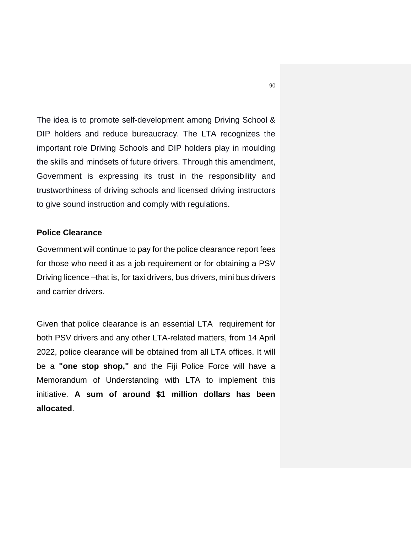The idea is to promote self-development among Driving School & DIP holders and reduce bureaucracy. The LTA recognizes the important role Driving Schools and DIP holders play in moulding the skills and mindsets of future drivers. Through this amendment, Government is expressing its trust in the responsibility and trustworthiness of driving schools and licensed driving instructors to give sound instruction and comply with regulations.

### **Police Clearance**

Government will continue to pay for the police clearance report fees for those who need it as a job requirement or for obtaining a PSV Driving licence –that is, for taxi drivers, bus drivers, mini bus drivers and carrier drivers.

Given that police clearance is an essential LTA requirement for both PSV drivers and any other LTA-related matters, from 14 April 2022, police clearance will be obtained from all LTA offices. It will be a **"one stop shop,"** and the Fiji Police Force will have a Memorandum of Understanding with LTA to implement this initiative. **A sum of around \$1 million dollars has been allocated**.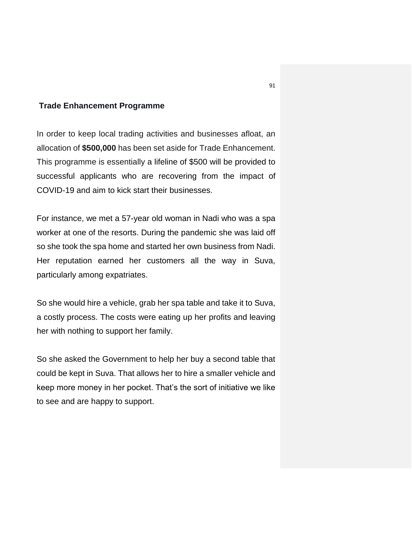### **Trade Enhancement Programme**

In order to keep local trading activities and businesses afloat, an allocation of **\$500,000** has been set aside for Trade Enhancement. This programme is essentially a lifeline of \$500 will be provided to successful applicants who are recovering from the impact of COVID-19 and aim to kick start their businesses.

For instance, we met a 57-year old woman in Nadi who was a spa worker at one of the resorts. During the pandemic she was laid off so she took the spa home and started her own business from Nadi. Her reputation earned her customers all the way in Suva, particularly among expatriates.

So she would hire a vehicle, grab her spa table and take it to Suva, a costly process. The costs were eating up her profits and leaving her with nothing to support her family.

So she asked the Government to help her buy a second table that could be kept in Suva. That allows her to hire a smaller vehicle and keep more money in her pocket. That's the sort of initiative we like to see and are happy to support.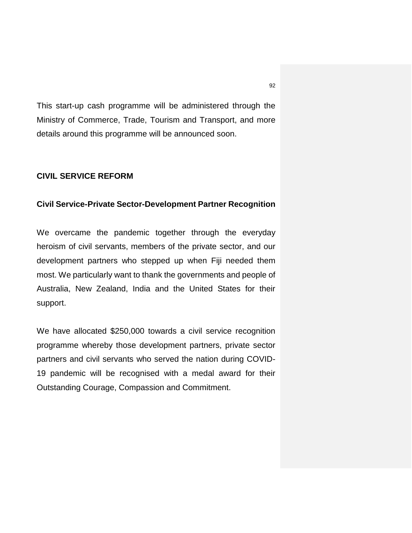This start-up cash programme will be administered through the Ministry of Commerce, Trade, Tourism and Transport, and more details around this programme will be announced soon.

## **CIVIL SERVICE REFORM**

## **Civil Service-Private Sector-Development Partner Recognition**

We overcame the pandemic together through the everyday heroism of civil servants, members of the private sector, and our development partners who stepped up when Fiji needed them most. We particularly want to thank the governments and people of Australia, New Zealand, India and the United States for their support.

We have allocated \$250,000 towards a civil service recognition programme whereby those development partners, private sector partners and civil servants who served the nation during COVID-19 pandemic will be recognised with a medal award for their Outstanding Courage, Compassion and Commitment.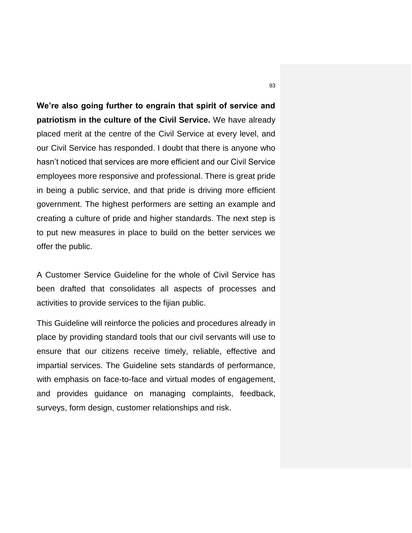**We're also going further to engrain that spirit of service and patriotism in the culture of the Civil Service.** We have already placed merit at the centre of the Civil Service at every level, and our Civil Service has responded. I doubt that there is anyone who hasn't noticed that services are more efficient and our Civil Service employees more responsive and professional. There is great pride in being a public service, and that pride is driving more efficient government. The highest performers are setting an example and creating a culture of pride and higher standards. The next step is to put new measures in place to build on the better services we offer the public.

A Customer Service Guideline for the whole of Civil Service has been drafted that consolidates all aspects of processes and activities to provide services to the fijian public.

This Guideline will reinforce the policies and procedures already in place by providing standard tools that our civil servants will use to ensure that our citizens receive timely, reliable, effective and impartial services. The Guideline sets standards of performance, with emphasis on face-to-face and virtual modes of engagement, and provides guidance on managing complaints, feedback, surveys, form design, customer relationships and risk.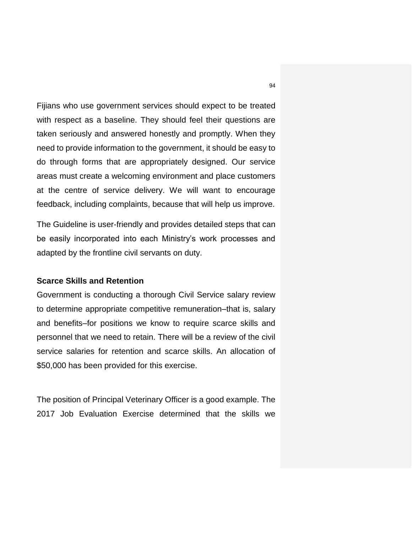Fijians who use government services should expect to be treated with respect as a baseline. They should feel their questions are taken seriously and answered honestly and promptly. When they need to provide information to the government, it should be easy to do through forms that are appropriately designed. Our service areas must create a welcoming environment and place customers at the centre of service delivery. We will want to encourage feedback, including complaints, because that will help us improve.

The Guideline is user-friendly and provides detailed steps that can be easily incorporated into each Ministry's work processes and adapted by the frontline civil servants on duty.

### **Scarce Skills and Retention**

Government is conducting a thorough Civil Service salary review to determine appropriate competitive remuneration–that is, salary and benefits–for positions we know to require scarce skills and personnel that we need to retain. There will be a review of the civil service salaries for retention and scarce skills. An allocation of \$50,000 has been provided for this exercise.

The position of Principal Veterinary Officer is a good example. The 2017 Job Evaluation Exercise determined that the skills we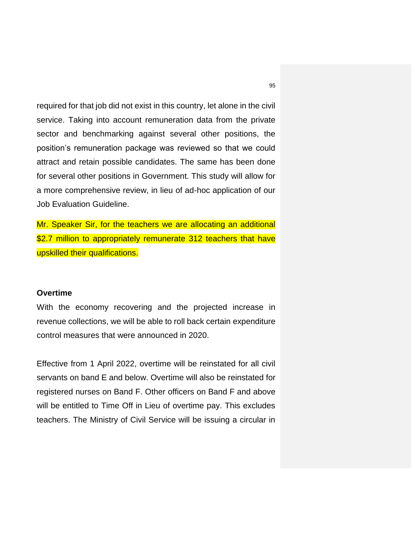required for that job did not exist in this country, let alone in the civil service. Taking into account remuneration data from the private sector and benchmarking against several other positions, the position's remuneration package was reviewed so that we could attract and retain possible candidates. The same has been done for several other positions in Government. This study will allow for a more comprehensive review, in lieu of ad-hoc application of our Job Evaluation Guideline.

Mr. Speaker Sir, for the teachers we are allocating an additional \$2.7 million to appropriately remunerate 312 teachers that have upskilled their qualifications.

## **Overtime**

With the economy recovering and the projected increase in revenue collections, we will be able to roll back certain expenditure control measures that were announced in 2020.

Effective from 1 April 2022, overtime will be reinstated for all civil servants on band E and below. Overtime will also be reinstated for registered nurses on Band F. Other officers on Band F and above will be entitled to Time Off in Lieu of overtime pay. This excludes teachers. The Ministry of Civil Service will be issuing a circular in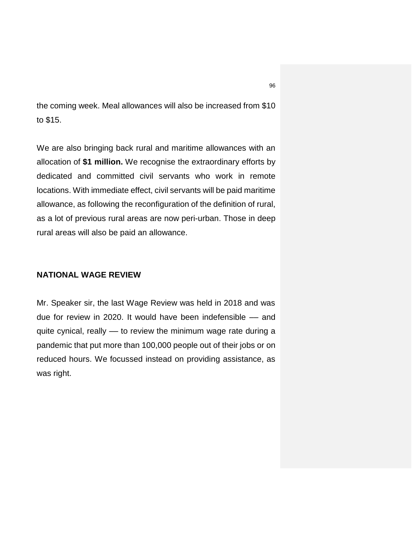the coming week. Meal allowances will also be increased from \$10 to \$15.

We are also bringing back rural and maritime allowances with an allocation of **\$1 million.** We recognise the extraordinary efforts by dedicated and committed civil servants who work in remote locations. With immediate effect, civil servants will be paid maritime allowance, as following the reconfiguration of the definition of rural, as a lot of previous rural areas are now peri-urban. Those in deep rural areas will also be paid an allowance.

# **NATIONAL WAGE REVIEW**

Mr. Speaker sir, the last Wage Review was held in 2018 and was due for review in 2020. It would have been indefensible -- and quite cynical, really –– to review the minimum wage rate during a pandemic that put more than 100,000 people out of their jobs or on reduced hours. We focussed instead on providing assistance, as was right.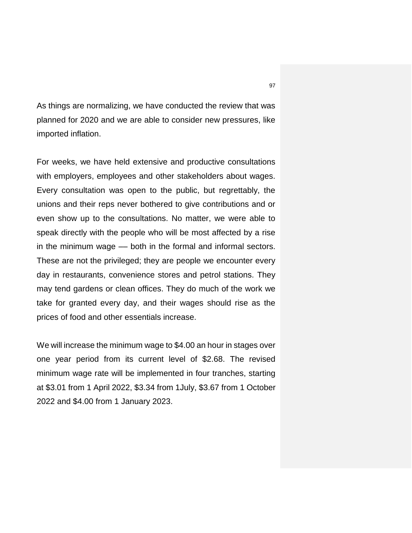As things are normalizing, we have conducted the review that was planned for 2020 and we are able to consider new pressures, like imported inflation.

For weeks, we have held extensive and productive consultations with employers, employees and other stakeholders about wages. Every consultation was open to the public, but regrettably, the unions and their reps never bothered to give contributions and or even show up to the consultations. No matter, we were able to speak directly with the people who will be most affected by a rise in the minimum wage –– both in the formal and informal sectors. These are not the privileged; they are people we encounter every day in restaurants, convenience stores and petrol stations. They may tend gardens or clean offices. They do much of the work we take for granted every day, and their wages should rise as the prices of food and other essentials increase.

We will increase the minimum wage to \$4.00 an hour in stages over one year period from its current level of \$2.68. The revised minimum wage rate will be implemented in four tranches, starting at \$3.01 from 1 April 2022, \$3.34 from 1July, \$3.67 from 1 October 2022 and \$4.00 from 1 January 2023.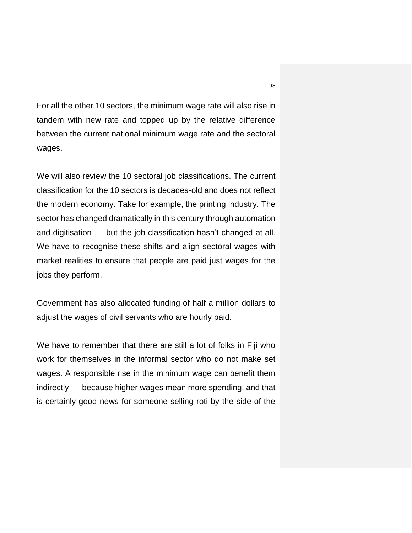For all the other 10 sectors, the minimum wage rate will also rise in tandem with new rate and topped up by the relative difference between the current national minimum wage rate and the sectoral wages.

We will also review the 10 sectoral job classifications. The current classification for the 10 sectors is decades-old and does not reflect the modern economy. Take for example, the printing industry. The sector has changed dramatically in this century through automation and digitisation –– but the job classification hasn't changed at all. We have to recognise these shifts and align sectoral wages with market realities to ensure that people are paid just wages for the jobs they perform.

Government has also allocated funding of half a million dollars to adjust the wages of civil servants who are hourly paid.

We have to remember that there are still a lot of folks in Fiji who work for themselves in the informal sector who do not make set wages. A responsible rise in the minimum wage can benefit them indirectly –– because higher wages mean more spending, and that is certainly good news for someone selling roti by the side of the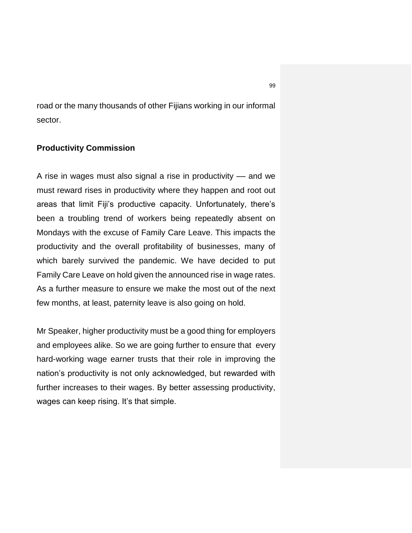road or the many thousands of other Fijians working in our informal sector.

## **Productivity Commission**

A rise in wages must also signal a rise in productivity –– and we must reward rises in productivity where they happen and root out areas that limit Fiji's productive capacity. Unfortunately, there's been a troubling trend of workers being repeatedly absent on Mondays with the excuse of Family Care Leave. This impacts the productivity and the overall profitability of businesses, many of which barely survived the pandemic. We have decided to put Family Care Leave on hold given the announced rise in wage rates. As a further measure to ensure we make the most out of the next few months, at least, paternity leave is also going on hold.

Mr Speaker, higher productivity must be a good thing for employers and employees alike. So we are going further to ensure that every hard-working wage earner trusts that their role in improving the nation's productivity is not only acknowledged, but rewarded with further increases to their wages. By better assessing productivity, wages can keep rising. It's that simple.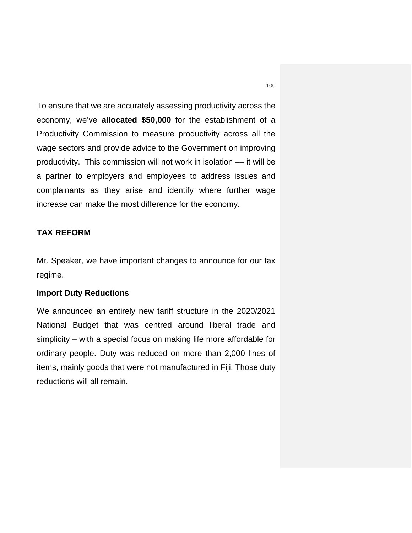To ensure that we are accurately assessing productivity across the economy, we've **allocated \$50,000** for the establishment of a Productivity Commission to measure productivity across all the wage sectors and provide advice to the Government on improving productivity. This commission will not work in isolation –– it will be a partner to employers and employees to address issues and complainants as they arise and identify where further wage increase can make the most difference for the economy.

## **TAX REFORM**

Mr. Speaker, we have important changes to announce for our tax regime.

### **Import Duty Reductions**

We announced an entirely new tariff structure in the 2020/2021 National Budget that was centred around liberal trade and simplicity – with a special focus on making life more affordable for ordinary people. Duty was reduced on more than 2,000 lines of items, mainly goods that were not manufactured in Fiji. Those duty reductions will all remain.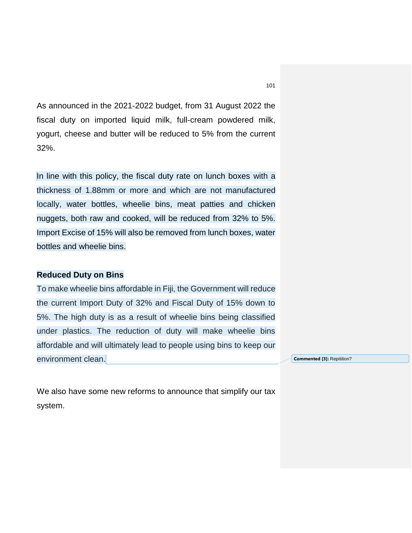As announced in the 2021-2022 budget, from 31 August 2022 the fiscal duty on imported liquid milk, full-cream powdered milk, yogurt, cheese and butter will be reduced to 5% from the current 32%.

In line with this policy, the fiscal duty rate on lunch boxes with a thickness of 1.88mm or more and which are not manufactured locally, water bottles, wheelie bins, meat patties and chicken nuggets, both raw and cooked, will be reduced from 32% to 5%. Import Excise of 15% will also be removed from lunch boxes, water bottles and wheelie bins.

### **Reduced Duty on Bins**

To make wheelie bins affordable in Fiji, the Government will reduce the current Import Duty of 32% and Fiscal Duty of 15% down to 5%. The high duty is as a result of wheelie bins being classified under plastics. The reduction of duty will make wheelie bins affordable and will ultimately lead to people using bins to keep our environment clean.

**Commented [3]:** Repitition?

We also have some new reforms to announce that simplify our tax system.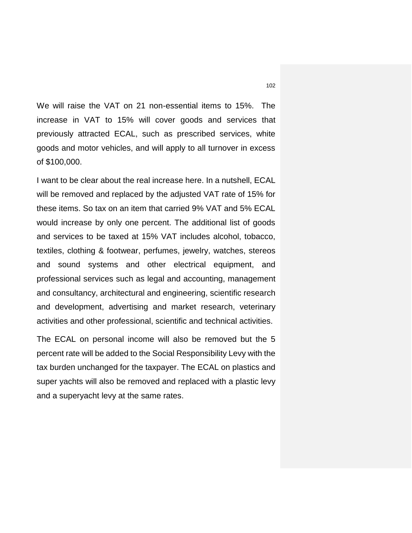We will raise the VAT on 21 non-essential items to 15%. The increase in VAT to 15% will cover goods and services that previously attracted ECAL, such as prescribed services, white goods and motor vehicles, and will apply to all turnover in excess of \$100,000.

I want to be clear about the real increase here. In a nutshell, ECAL will be removed and replaced by the adjusted VAT rate of 15% for these items. So tax on an item that carried 9% VAT and 5% ECAL would increase by only one percent. The additional list of goods and services to be taxed at 15% VAT includes alcohol, tobacco, textiles, clothing & footwear, perfumes, jewelry, watches, stereos and sound systems and other electrical equipment, and professional services such as legal and accounting, management and consultancy, architectural and engineering, scientific research and development, advertising and market research, veterinary activities and other professional, scientific and technical activities.

The ECAL on personal income will also be removed but the 5 percent rate will be added to the Social Responsibility Levy with the tax burden unchanged for the taxpayer. The ECAL on plastics and super yachts will also be removed and replaced with a plastic levy and a superyacht levy at the same rates.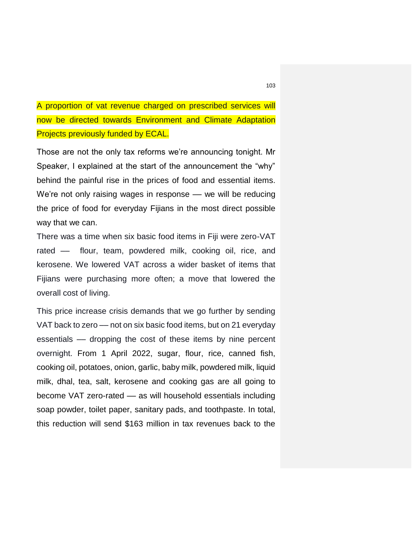A proportion of vat revenue charged on prescribed services will now be directed towards Environment and Climate Adaptation Projects previously funded by ECAL.

Those are not the only tax reforms we're announcing tonight. Mr Speaker, I explained at the start of the announcement the "why" behind the painful rise in the prices of food and essential items. We're not only raising wages in response –– we will be reducing the price of food for everyday Fijians in the most direct possible way that we can.

There was a time when six basic food items in Fiji were zero-VAT rated — flour, team, powdered milk, cooking oil, rice, and kerosene. We lowered VAT across a wider basket of items that Fijians were purchasing more often; a move that lowered the overall cost of living.

This price increase crisis demands that we go further by sending VAT back to zero –– not on six basic food items, but on 21 everyday essentials –– dropping the cost of these items by nine percent overnight. From 1 April 2022, sugar, flour, rice, canned fish, cooking oil, potatoes, onion, garlic, baby milk, powdered milk, liquid milk, dhal, tea, salt, kerosene and cooking gas are all going to become VAT zero-rated –– as will household essentials including soap powder, toilet paper, sanitary pads, and toothpaste. In total, this reduction will send \$163 million in tax revenues back to the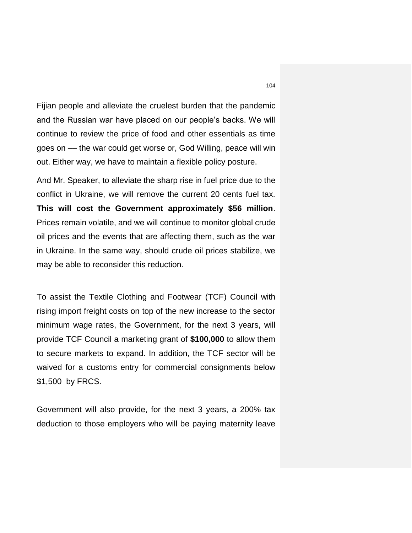Fijian people and alleviate the cruelest burden that the pandemic and the Russian war have placed on our people's backs. We will continue to review the price of food and other essentials as time goes on –– the war could get worse or, God Willing, peace will win out. Either way, we have to maintain a flexible policy posture.

And Mr. Speaker, to alleviate the sharp rise in fuel price due to the conflict in Ukraine, we will remove the current 20 cents fuel tax. **This will cost the Government approximately \$56 million**. Prices remain volatile, and we will continue to monitor global crude oil prices and the events that are affecting them, such as the war in Ukraine. In the same way, should crude oil prices stabilize, we may be able to reconsider this reduction.

To assist the Textile Clothing and Footwear (TCF) Council with rising import freight costs on top of the new increase to the sector minimum wage rates, the Government, for the next 3 years, will provide TCF Council a marketing grant of **\$100,000** to allow them to secure markets to expand. In addition, the TCF sector will be waived for a customs entry for commercial consignments below \$1,500 by FRCS.

Government will also provide, for the next 3 years, a 200% tax deduction to those employers who will be paying maternity leave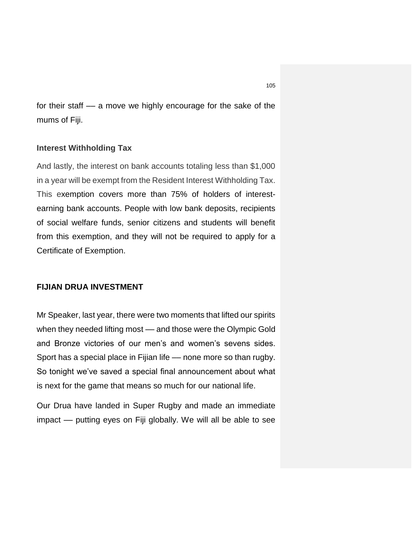for their staff –– a move we highly encourage for the sake of the mums of Fiji.

### **Interest Withholding Tax**

And lastly, the interest on bank accounts totaling less than \$1,000 in a year will be exempt from the Resident Interest Withholding Tax. This exemption covers more than 75% of holders of interestearning bank accounts. People with low bank deposits, recipients of social welfare funds, senior citizens and students will benefit from this exemption, and they will not be required to apply for a Certificate of Exemption.

## **FIJIAN DRUA INVESTMENT**

Mr Speaker, last year, there were two moments that lifted our spirits when they needed lifting most — and those were the Olympic Gold and Bronze victories of our men's and women's sevens sides. Sport has a special place in Fijian life –– none more so than rugby. So tonight we've saved a special final announcement about what is next for the game that means so much for our national life.

Our Drua have landed in Super Rugby and made an immediate impact –– putting eyes on Fiji globally. We will all be able to see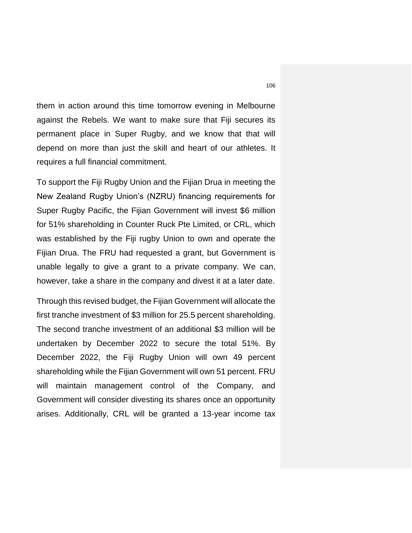them in action around this time tomorrow evening in Melbourne against the Rebels. We want to make sure that Fiji secures its permanent place in Super Rugby, and we know that that will depend on more than just the skill and heart of our athletes. It requires a full financial commitment.

To support the Fiji Rugby Union and the Fijian Drua in meeting the New Zealand Rugby Union's (NZRU) financing requirements for Super Rugby Pacific, the Fijian Government will invest \$6 million for 51% shareholding in Counter Ruck Pte Limited, or CRL, which was established by the Fiji rugby Union to own and operate the Fijian Drua. The FRU had requested a grant, but Government is unable legally to give a grant to a private company. We can, however, take a share in the company and divest it at a later date.

Through this revised budget, the Fijian Government will allocate the first tranche investment of \$3 million for 25.5 percent shareholding. The second tranche investment of an additional \$3 million will be undertaken by December 2022 to secure the total 51%. By December 2022, the Fiji Rugby Union will own 49 percent shareholding while the Fijian Government will own 51 percent. FRU will maintain management control of the Company, and Government will consider divesting its shares once an opportunity arises. Additionally, CRL will be granted a 13-year income tax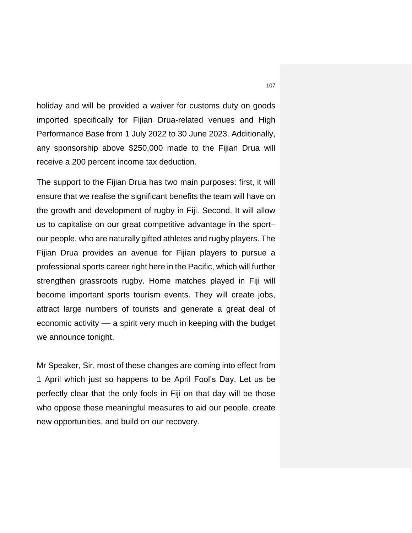holiday and will be provided a waiver for customs duty on goods imported specifically for Fijian Drua-related venues and High Performance Base from 1 July 2022 to 30 June 2023. Additionally, any sponsorship above \$250,000 made to the Fijian Drua will receive a 200 percent income tax deduction.

The support to the Fijian Drua has two main purposes: first, it will ensure that we realise the significant benefits the team will have on the growth and development of rugby in Fiji. Second, It will allow us to capitalise on our great competitive advantage in the sport– our people, who are naturally gifted athletes and rugby players. The Fijian Drua provides an avenue for Fijian players to pursue a professional sports career right here in the Pacific, which will further strengthen grassroots rugby. Home matches played in Fiji will become important sports tourism events. They will create jobs, attract large numbers of tourists and generate a great deal of economic activity –– a spirit very much in keeping with the budget we announce tonight.

Mr Speaker, Sir, most of these changes are coming into effect from 1 April which just so happens to be April Fool's Day. Let us be perfectly clear that the only fools in Fiji on that day will be those who oppose these meaningful measures to aid our people, create new opportunities, and build on our recovery.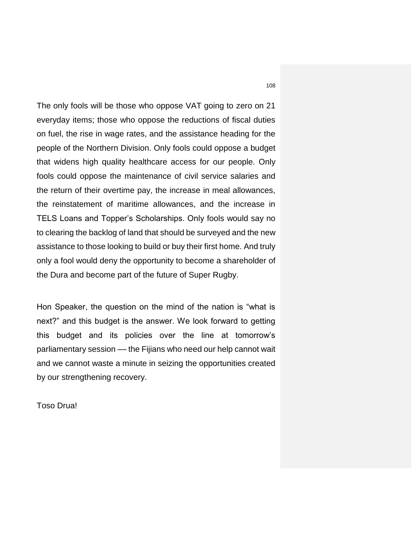The only fools will be those who oppose VAT going to zero on 21 everyday items; those who oppose the reductions of fiscal duties on fuel, the rise in wage rates, and the assistance heading for the people of the Northern Division. Only fools could oppose a budget that widens high quality healthcare access for our people. Only fools could oppose the maintenance of civil service salaries and the return of their overtime pay, the increase in meal allowances, the reinstatement of maritime allowances, and the increase in TELS Loans and Topper's Scholarships. Only fools would say no to clearing the backlog of land that should be surveyed and the new assistance to those looking to build or buy their first home. And truly only a fool would deny the opportunity to become a shareholder of the Dura and become part of the future of Super Rugby.

Hon Speaker, the question on the mind of the nation is "what is next?" and this budget is the answer. We look forward to getting this budget and its policies over the line at tomorrow's parliamentary session –– the Fijians who need our help cannot wait and we cannot waste a minute in seizing the opportunities created by our strengthening recovery.

Toso Drua!